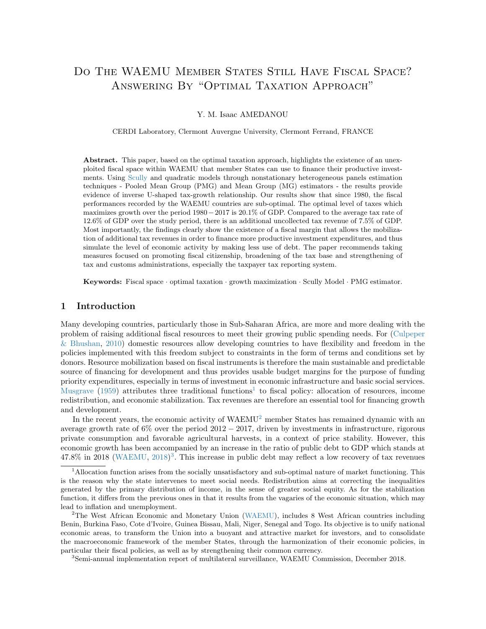# <span id="page-0-0"></span>DO THE WAEMU MEMBER STATES STILL HAVE FISCAL SPACE? Answering By "Optimal Taxation Approach"

Y. M. Isaac AMEDANOU

CERDI Laboratory, Clermont Auvergne University, Clermont Ferrand, FRANCE

Abstract. This paper, based on the optimal taxation approach, highlights the existence of an unexploited fiscal space within WAEMU that member States can use to finance their productive investments. Using [Scully](#page-21-0) and quadratic models through nonstationary heterogeneous panels estimation techniques - Pooled Mean Group (PMG) and Mean Group (MG) estimators - the results provide evidence of inverse U-shaped tax-growth relationship. Our results show that since 1980, the fiscal performances recorded by the WAEMU countries are sub-optimal. The optimal level of taxes which maximizes growth over the period 1980−2017 is 20.1% of GDP. Compared to the average tax rate of 12.6% of GDP over the study period, there is an additional uncollected tax revenue of 7.5% of GDP. Most importantly, the findings clearly show the existence of a fiscal margin that allows the mobilization of additional tax revenues in order to finance more productive investment expenditures, and thus simulate the level of economic activity by making less use of debt. The paper recommends taking measures focused on promoting fiscal citizenship, broadening of the tax base and strengthening of tax and customs administrations, especially the taxpayer tax reporting system.

Keywords: Fiscal space · optimal taxation · growth maximization · Scully Model · PMG estimator.

## 1 Introduction

Many developing countries, particularly those in Sub-Saharan Africa, are more and more dealing with the problem of raising additional fiscal resources to meet their growing public spending needs. For [\(Culpeper](#page-20-0) [& Bhushan,](#page-20-0) [2010\)](#page-20-0) domestic resources allow developing countries to have flexibility and freedom in the policies implemented with this freedom subject to constraints in the form of terms and conditions set by donors. Resource mobilization based on fiscal instruments is therefore the main sustainable and predictable source of financing for development and thus provides usable budget margins for the purpose of funding priority expenditures, especially in terms of investment in economic infrastructure and basic social services. [Musgrave](#page-21-1) [\(1959\)](#page-21-1) attributes three traditional functions<sup>1</sup> to fiscal policy: allocation of resources, income redistribution, and economic stabilization. Tax revenues are therefore an essential tool for financing growth and development.

In the recent years, the economic activity of WAEMU<sup>2</sup> member States has remained dynamic with an average growth rate of 6% over the period 2012 − 2017, driven by investments in infrastructure, rigorous private consumption and favorable agricultural harvests, in a context of price stability. However, this economic growth has been accompanied by an increase in the ratio of public debt to GDP which stands at  $47.8\%$  in 2018 [\(WAEMU,](#page-21-2)  $2018)^3$  $2018)^3$ . This increase in public debt may reflect a low recovery of tax revenues

<sup>&</sup>lt;sup>1</sup>Allocation function arises from the socially unsatisfactory and sub-optimal nature of market functioning. This is the reason why the state intervenes to meet social needs. Redistribution aims at correcting the inequalities generated by the primary distribution of income, in the sense of greater social equity. As for the stabilization function, it differs from the previous ones in that it results from the vagaries of the economic situation, which may lead to inflation and unemployment.

<sup>&</sup>lt;sup>2</sup>The West African Economic and Monetary Union (WAEMU), includes 8 West African countries including Benin, Burkina Faso, Cote d'Ivoire, Guinea Bissau, Mali, Niger, Senegal and Togo. Its objective is to unify national economic areas, to transform the Union into a buoyant and attractive market for investors, and to consolidate the macroeconomic framework of the member States, through the harmonization of their economic policies, in particular their fiscal policies, as well as by strengthening their common currency.

<sup>3</sup>Semi-annual implementation report of multilateral surveillance, WAEMU Commission, December 2018.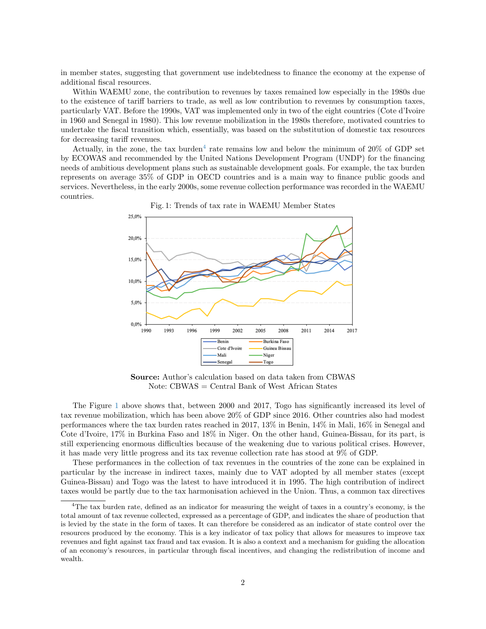in member states, suggesting that government use indebtedness to finance the economy at the expense of additional fiscal resources.

Within WAEMU zone, the contribution to revenues by taxes remained low especially in the 1980s due to the existence of tariff barriers to trade, as well as low contribution to revenues by consumption taxes, particularly VAT. Before the 1990s, VAT was implemented only in two of the eight countries (Cote d'Ivoire in 1960 and Senegal in 1980). This low revenue mobilization in the 1980s therefore, motivated countries to undertake the fiscal transition which, essentially, was based on the substitution of domestic tax resources for decreasing tariff revenues.

<span id="page-1-0"></span>Actually, in the zone, the tax burden<sup>[4](#page-0-0)</sup> rate remains low and below the minimum of  $20\%$  of GDP set by ECOWAS and recommended by the United Nations Development Program (UNDP) for the financing needs of ambitious development plans such as sustainable development goals. For example, the tax burden represents on average 35% of GDP in OECD countries and is a main way to finance public goods and services. Nevertheless, in the early 2000s, some revenue collection performance was recorded in the WAEMU countries.



Fig. 1: Trends of tax rate in WAEMU Member States

Source: Author's calculation based on data taken from CBWAS Note: CBWAS = Central Bank of West African States

The Figure [1](#page-1-0) above shows that, between 2000 and 2017, Togo has significantly increased its level of tax revenue mobilization, which has been above 20% of GDP since 2016. Other countries also had modest performances where the tax burden rates reached in 2017, 13% in Benin, 14% in Mali, 16% in Senegal and Cote d'Ivoire, 17% in Burkina Faso and 18% in Niger. On the other hand, Guinea-Bissau, for its part, is still experiencing enormous difficulties because of the weakening due to various political crises. However, it has made very little progress and its tax revenue collection rate has stood at 9% of GDP.

These performances in the collection of tax revenues in the countries of the zone can be explained in particular by the increase in indirect taxes, mainly due to VAT adopted by all member states (except Guinea-Bissau) and Togo was the latest to have introduced it in 1995. The high contribution of indirect taxes would be partly due to the tax harmonisation achieved in the Union. Thus, a common tax directives

<sup>&</sup>lt;sup>4</sup>The tax burden rate, defined as an indicator for measuring the weight of taxes in a country's economy, is the total amount of tax revenue collected, expressed as a percentage of GDP, and indicates the share of production that is levied by the state in the form of taxes. It can therefore be considered as an indicator of state control over the resources produced by the economy. This is a key indicator of tax policy that allows for measures to improve tax revenues and fight against tax fraud and tax evasion. It is also a context and a mechanism for guiding the allocation of an economy's resources, in particular through fiscal incentives, and changing the redistribution of income and wealth.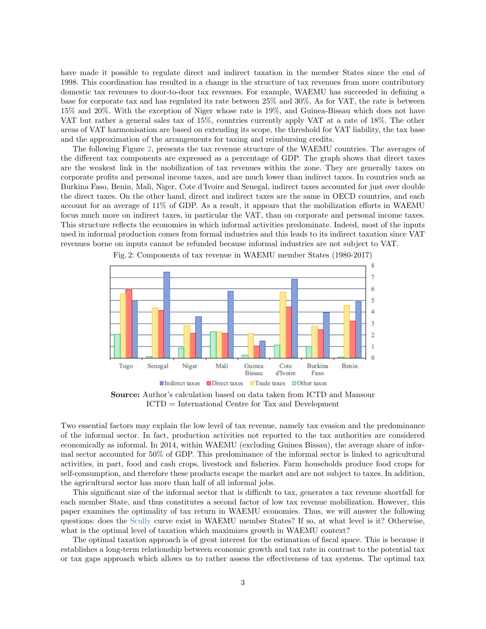have made it possible to regulate direct and indirect taxation in the member States since the end of 1998. This coordination has resulted in a change in the structure of tax revenues from more contributory domestic tax revenues to door-to-door tax revenues. For example, WAEMU has succeeded in defining a base for corporate tax and has regulated its rate between 25% and 30%. As for VAT, the rate is between 15% and 20%. With the exception of Niger whose rate is 19%, and Guinea-Bissau which does not have VAT but rather a general sales tax of 15%, countries currently apply VAT at a rate of 18%. The other areas of VAT harmonisation are based on extending its scope, the threshold for VAT liability, the tax base and the approximation of the arrangements for taxing and reimbursing credits.

The following Figure [2,](#page-2-0) presents the tax revenue structure of the WAEMU countries. The averages of the different tax components are expressed as a percentage of GDP. The graph shows that direct taxes are the weakest link in the mobilization of tax revenues within the zone. They are generally taxes on corporate profits and personal income taxes, and are much lower than indirect taxes. In countries such as Burkina Faso, Benin, Mali, Niger, Cote d'Ivoire and Senegal, indirect taxes accounted for just over double the direct taxes. On the other hand, direct and indirect taxes are the same in OECD countries, and each account for an average of 11% of GDP. As a result, it appears that the mobilization efforts in WAEMU focus much more on indirect taxes, in particular the VAT, than on corporate and personal income taxes. This structure reflects the economies in which informal activities predominate. Indeed, most of the inputs used in informal production comes from formal industries and this leads to its indirect taxation since VAT revenues borne on inputs cannot be refunded because informal industries are not subject to VAT.

<span id="page-2-0"></span>

Fig. 2: Components of tax revenue in WAEMU member States (1980-2017)

Source: Author's calculation based on data taken from ICTD and Mansour ICTD = International Centre for Tax and Development

Two essential factors may explain the low level of tax revenue, namely tax evasion and the predominance of the informal sector. In fact, production activities not reported to the tax authorities are considered economically as informal. In 2014, within WAEMU (excluding Guinea Bissau), the average share of informal sector accounted for 50% of GDP. This predominance of the informal sector is linked to agricultural activities, in part, food and cash crops, livestock and fisheries. Farm households produce food crops for self-consumption, and therefore these products escape the market and are not subject to taxes. In addition, the agricultural sector has more than half of all informal jobs.

This significant size of the informal sector that is difficult to tax, generates a tax revenue shortfall for each member State, and thus constitutes a second factor of low tax revenue mobilization. However, this paper examines the optimality of tax return in WAEMU economies. Thus, we will answer the following questions: does the [Scully](#page-21-0) curve exist in WAEMU member States? If so, at what level is it? Otherwise, what is the optimal level of taxation which maximizes growth in WAEMU context?

The optimal taxation approach is of great interest for the estimation of fiscal space. This is because it establishes a long-term relationship between economic growth and tax rate in contrast to the potential tax or tax gaps approach which allows us to rather assess the effectiveness of tax systems. The optimal tax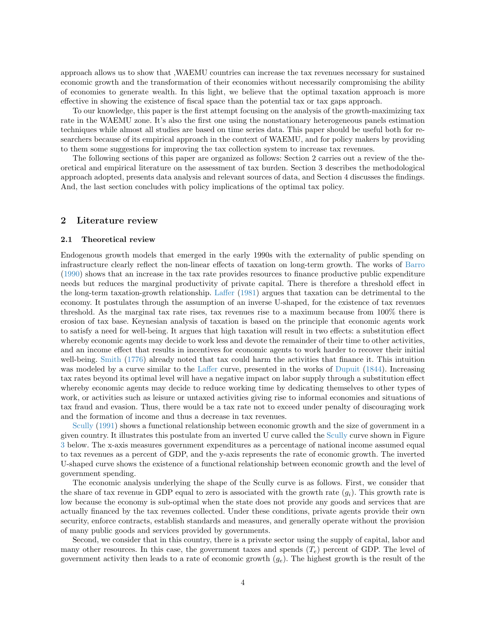approach allows us to show that ,WAEMU countries can increase the tax revenues necessary for sustained economic growth and the transformation of their economies without necessarily compromising the ability of economies to generate wealth. In this light, we believe that the optimal taxation approach is more effective in showing the existence of fiscal space than the potential tax or tax gaps approach.

To our knowledge, this paper is the first attempt focusing on the analysis of the growth-maximizing tax rate in the WAEMU zone. It's also the first one using the nonstationary heterogeneous panels estimation techniques while almost all studies are based on time series data. This paper should be useful both for researchers because of its empirical approach in the context of WAEMU, and for policy makers by providing to them some suggestions for improving the tax collection system to increase tax revenues.

The following sections of this paper are organized as follows: Section 2 carries out a review of the theoretical and empirical literature on the assessment of tax burden. Section 3 describes the methodological approach adopted, presents data analysis and relevant sources of data, and Section 4 discusses the findings. And, the last section concludes with policy implications of the optimal tax policy.

# 2 Literature review

#### 2.1 Theoretical review

Endogenous growth models that emerged in the early 1990s with the externality of public spending on infrastructure clearly reflect the non-linear effects of taxation on long-term growth. The works of [Barro](#page-20-1) [\(1990\)](#page-20-1) shows that an increase in the tax rate provides resources to finance productive public expenditure needs but reduces the marginal productivity of private capital. There is therefore a threshold effect in the long-term taxation-growth relationship. [Laffer](#page-21-3) [\(1981\)](#page-21-3) argues that taxation can be detrimental to the economy. It postulates through the assumption of an inverse U-shaped, for the existence of tax revenues threshold. As the marginal tax rate rises, tax revenues rise to a maximum because from 100% there is erosion of tax base. Keynesian analysis of taxation is based on the principle that economic agents work to satisfy a need for well-being. It argues that high taxation will result in two effects: a substitution effect whereby economic agents may decide to work less and devote the remainder of their time to other activities, and an income effect that results in incentives for economic agents to work harder to recover their initial well-being. [Smith](#page-21-4) [\(1776\)](#page-21-4) already noted that tax could harm the activities that finance it. This intuition was modeled by a curve similar to the [Laffer](#page-21-3) curve, presented in the works of [Dupuit](#page-20-2) [\(1844\)](#page-20-2). Increasing tax rates beyond its optimal level will have a negative impact on labor supply through a substitution effect whereby economic agents may decide to reduce working time by dedicating themselves to other types of work, or activities such as leisure or untaxed activities giving rise to informal economies and situations of tax fraud and evasion. Thus, there would be a tax rate not to exceed under penalty of discouraging work and the formation of income and thus a decrease in tax revenues.

[Scully](#page-21-5) [\(1991\)](#page-21-5) shows a functional relationship between economic growth and the size of government in a given country. It illustrates this postulate from an inverted U curve called the [Scully](#page-21-5) curve shown in Figure [3](#page-4-0) below. The x-axis measures government expenditures as a percentage of national income assumed equal to tax revenues as a percent of GDP, and the y-axis represents the rate of economic growth. The inverted U-shaped curve shows the existence of a functional relationship between economic growth and the level of government spending.

The economic analysis underlying the shape of the Scully curve is as follows. First, we consider that the share of tax revenue in GDP equal to zero is associated with the growth rate  $(g_i)$ . This growth rate is low because the economy is sub-optimal when the state does not provide any goods and services that are actually financed by the tax revenues collected. Under these conditions, private agents provide their own security, enforce contracts, establish standards and measures, and generally operate without the provision of many public goods and services provided by governments.

Second, we consider that in this country, there is a private sector using the supply of capital, labor and many other resources. In this case, the government taxes and spends  $(T_e)$  percent of GDP. The level of government activity then leads to a rate of economic growth  $(g_e)$ . The highest growth is the result of the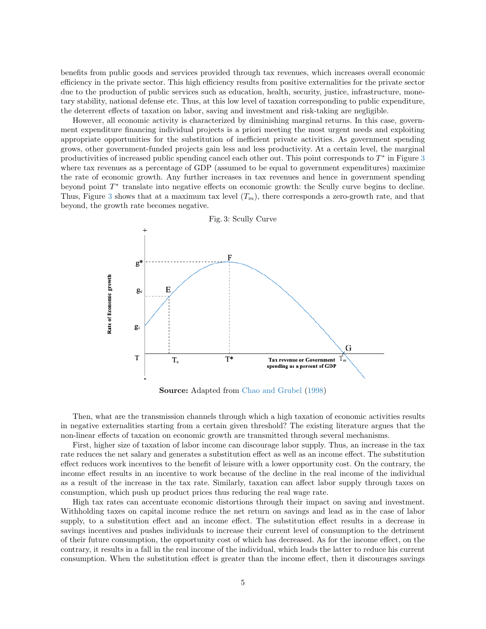benefits from public goods and services provided through tax revenues, which increases overall economic efficiency in the private sector. This high efficiency results from positive externalities for the private sector due to the production of public services such as education, health, security, justice, infrastructure, monetary stability, national defense etc. Thus, at this low level of taxation corresponding to public expenditure, the deterrent effects of taxation on labor, saving and investment and risk-taking are negligible.

However, all economic activity is characterized by diminishing marginal returns. In this case, government expenditure financing individual projects is a priori meeting the most urgent needs and exploiting appropriate opportunities for the substitution of inefficient private activities. As government spending grows, other government-funded projects gain less and less productivity. At a certain level, the marginal productivities of increased public spending cancel each other out. This point corresponds to  $T^*$  in Figure [3](#page-4-0) where tax revenues as a percentage of GDP (assumed to be equal to government expenditures) maximize the rate of economic growth. Any further increases in tax revenues and hence in government spending beyond point  $T^*$  translate into negative effects on economic growth: the Scully curve begins to decline. Thus, Figure [3](#page-4-0) shows that at a maximum tax level  $(T_m)$ , there corresponds a zero-growth rate, and that beyond, the growth rate becomes negative.

<span id="page-4-0"></span>

Source: Adapted from [Chao and Grubel](#page-20-3) [\(1998\)](#page-20-3)

Then, what are the transmission channels through which a high taxation of economic activities results in negative externalities starting from a certain given threshold? The existing literature argues that the non-linear effects of taxation on economic growth are transmitted through several mechanisms.

First, higher size of taxation of labor income can discourage labor supply. Thus, an increase in the tax rate reduces the net salary and generates a substitution effect as well as an income effect. The substitution effect reduces work incentives to the benefit of leisure with a lower opportunity cost. On the contrary, the income effect results in an incentive to work because of the decline in the real income of the individual as a result of the increase in the tax rate. Similarly, taxation can affect labor supply through taxes on consumption, which push up product prices thus reducing the real wage rate.

High tax rates can accentuate economic distortions through their impact on saving and investment. Withholding taxes on capital income reduce the net return on savings and lead as in the case of labor supply, to a substitution effect and an income effect. The substitution effect results in a decrease in savings incentives and pushes individuals to increase their current level of consumption to the detriment of their future consumption, the opportunity cost of which has decreased. As for the income effect, on the contrary, it results in a fall in the real income of the individual, which leads the latter to reduce his current consumption. When the substitution effect is greater than the income effect, then it discourages savings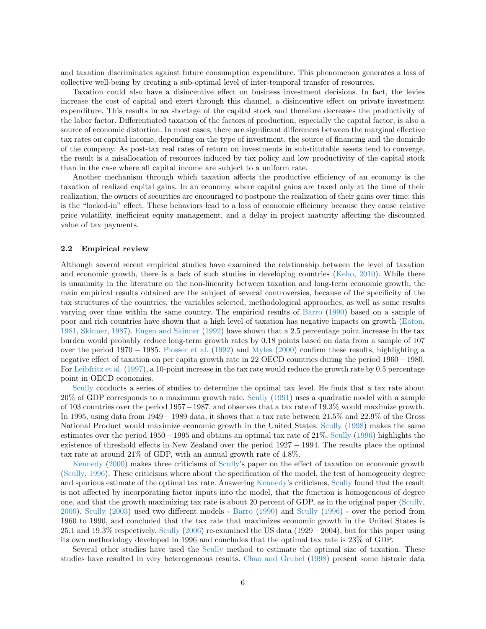and taxation discriminates against future consumption expenditure. This phenomenon generates a loss of collective well-being by creating a sub-optimal level of inter-temporal transfer of resources.

Taxation could also have a disincentive effect on business investment decisions. In fact, the levies increase the cost of capital and exert through this channel, a disincentive effect on private investment expenditure. This results in aa shortage of the capital stock and therefore decreases the productivity of the labor factor. Differentiated taxation of the factors of production, especially the capital factor, is also a source of economic distortion. In most cases, there are significant differences between the marginal effective tax rates on capital income, depending on the type of investment, the source of financing and the domicile of the company. As post-tax real rates of return on investments in substitutable assets tend to converge, the result is a misallocation of resources induced by tax policy and low productivity of the capital stock than in the case where all capital income are subject to a uniform rate.

Another mechanism through which taxation affects the productive efficiency of an economy is the taxation of realized capital gains. In an economy where capital gains are taxed only at the time of their realization, the owners of securities are encouraged to postpone the realization of their gains over time: this is the "locked-in" effect. These behaviors lead to a loss of economic efficiency because they cause relative price volatility, inefficient equity management, and a delay in project maturity affecting the discounted value of tax payments.

#### 2.2 Empirical review

Although several recent empirical studies have examined the relationship between the level of taxation and economic growth, there is a lack of such studies in developing countries [\(Keho,](#page-21-6) [2010\)](#page-21-6). While there is unanimity in the literature on the non-linearity between taxation and long-term economic growth, the main empirical results obtained are the subject of several controversies, because of the specificity of the tax structures of the countries, the variables selected, methodological approaches, as well as some results varying over time within the same country. The empirical results of [Barro](#page-20-1) [\(1990\)](#page-20-1) based on a sample of poor and rich countries have shown that a high level of taxation has negative impacts on growth [\(Eaton,](#page-20-4) [1981,](#page-20-4) [Skinner,](#page-21-7) [1987\)](#page-21-7). [Engen and Skinner](#page-20-5) [\(1992\)](#page-20-5) have shown that a 2.5 percentage point increase in the tax burden would probably reduce long-term growth rates by 0.18 points based on data from a sample of 107 over the period 1970 − 1985. [Plosser et al.](#page-21-8) [\(1992\)](#page-21-8) and [Myles](#page-21-9) [\(2000\)](#page-21-9) confirm these results, highlighting a negative effect of taxation on per capita growth rate in 22 OECD countries during the period 1960 −1980. For [Leibfritz et al.](#page-21-10) [\(1997\)](#page-21-10), a 10-point increase in the tax rate would reduce the growth rate by 0.5 percentage point in OECD economies.

[Scully](#page-21-5) conducts a series of studies to determine the optimal tax level. He finds that a tax rate about 20% of GDP corresponds to a maximum growth rate. [Scully](#page-21-5) [\(1991\)](#page-21-5) uses a quadratic model with a sample of 103 countries over the period 1957−1987, and observes that a tax rate of 19.3% would maximize growth. In 1995, using data from 1949−1989 data, it shows that a tax rate between 21.5% and 22.9% of the Gross National Product would maximize economic growth in the United States. [Scully](#page-21-11) [\(1998\)](#page-21-11) makes the same estimates over the period 1950−1995 and obtains an optimal tax rate of 21%. [Scully](#page-21-0) [\(1996\)](#page-21-0) highlights the existence of threshold effects in New Zealand over the period 1927 − 1994. The results place the optimal tax rate at around 21% of GDP, with an annual growth rate of 4.8%.

[Kennedy](#page-21-12) [\(2000\)](#page-21-12) makes three criticisms of [Scully'](#page-21-0)s paper on the effect of taxation on economic growth [\(Scully,](#page-21-0) [1996\)](#page-21-0). These criticisms where about the specification of the model, the test of homogeneity degree and spurious estimate of the optimal tax rate. Answering [Kennedy'](#page-21-12)s criticisms, [Scully](#page-21-13) found that the result is not affected by incorporating factor inputs into the model, that the function is homogeneous of degree one, and that the growth maximizing tax rate is about 20 percent of GDP, as in the original paper [\(Scully,](#page-21-13) [2000\)](#page-21-13). [Scully](#page-21-14) [\(2003\)](#page-21-14) used two different models - [Barro](#page-20-1) [\(1990\)](#page-20-1) and [Scully](#page-21-0) [\(1996\)](#page-21-0) - over the period from 1960 to 1990, and concluded that the tax rate that maximizes economic growth in the United States is 25.1 and 19.3% respectively. [Scully](#page-21-15) [\(2006\)](#page-21-15) re-examined the US data (1929−2004), but for this paper using its own methodology developed in 1996 and concludes that the optimal tax rate is 23% of GDP.

Several other studies have used the [Scully](#page-21-0) method to estimate the optimal size of taxation. These studies have resulted in very heterogeneous results. [Chao and Grubel](#page-20-3) [\(1998\)](#page-20-3) present some historic data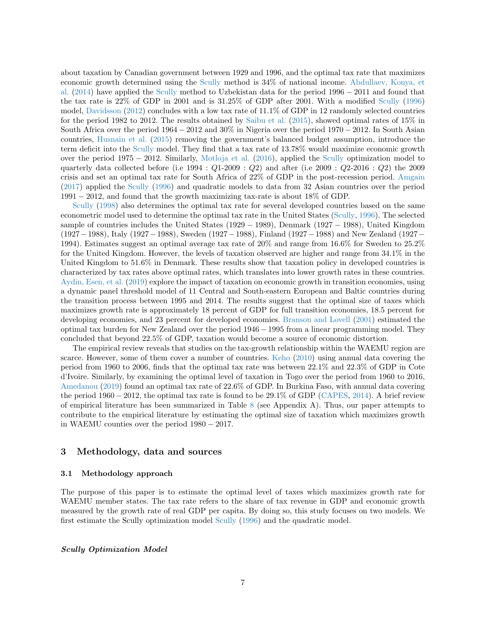about taxation by Canadian government between 1929 and 1996, and the optimal tax rate that maximizes economic growth determined using the [Scully](#page-21-0) method is 34% of national income. [Abdullaev, Konya, et](#page-20-6) [al.](#page-20-6) [\(2014\)](#page-20-6) have applied the [Scully](#page-21-0) method to Uzbekistan data for the period 1996 − 2011 and found that the tax rate is 22% of GDP in 2001 and is 31.25% of GDP after 2001. With a modified [Scully](#page-21-0) [\(1996\)](#page-21-0) model, [Davidsson](#page-20-7) [\(2012\)](#page-20-7) concludes with a low tax rate of 11.1% of GDP in 12 randomly selected countries for the period 1982 to 2012. The results obtained by [Saibu et al.](#page-21-16) [\(2015\)](#page-21-16), showed optimal rates of 15% in South Africa over the period 1964 − 2012 and 30% in Nigeria over the period 1970 − 2012. In South Asian countries, [Husnain et al.](#page-20-8) [\(2015\)](#page-20-8) removing the government's balanced budget assumption, introduce the term deficit into the [Scully](#page-21-0) model. They find that a tax rate of 13.78% would maximize economic growth over the period 1975 − 2012. Similarly, [Motloja et al.](#page-21-17) [\(2016\)](#page-21-17), applied the [Scully](#page-21-0) optimization model to quarterly data collected before (i.e  $1994$ :  $Q1-2009$ :  $Q2$ ) and after (i.e  $2009$ :  $Q2-2016$ :  $Q2$ ) the 2009 crisis and set an optimal tax rate for South Africa of 22% of GDP in the post-recession period. [Amgain](#page-20-9) [\(2017\)](#page-20-9) applied the [Scully](#page-21-0) [\(1996\)](#page-21-0) and quadratic models to data from 32 Asian countries over the period 1991 − 2012, and found that the growth maximizing tax-rate is about 18% of GDP.

[Scully](#page-21-11) [\(1998\)](#page-21-11) also determines the optimal tax rate for several developed countries based on the same econometric model used to determine the optimal tax rate in the United States [\(Scully,](#page-21-0) [1996\)](#page-21-0). The selected sample of countries includes the United States (1929 − 1989), Denmark (1927 − 1988), United Kingdom (1927−1988), Italy (1927−1988), Sweden (1927−1988), Finland (1927−1988) and New Zealand (1927− 1994). Estimates suggest an optimal average tax rate of 20% and range from 16.6% for Sweden to 25.2% for the United Kingdom. However, the levels of taxation observed are higher and range from 34.1% in the United Kingdom to 51.6% in Denmark. These results show that taxation policy in developed countries is characterized by tax rates above optimal rates, which translates into lower growth rates in these countries. [Aydin, Esen, et al.](#page-20-10) [\(2019\)](#page-20-10) explore the impact of taxation on economic growth in transition economies, using a dynamic panel threshold model of 11 Central and South-eastern European and Baltic countries during the transition process between 1995 and 2014. The results suggest that the optimal size of taxes which maximizes growth rate is approximately 18 percent of GDP for full transition economies, 18.5 percent for developing economies, and 23 percent for developed economies. [Branson and Lovell](#page-20-11) [\(2001\)](#page-20-11) estimated the optimal tax burden for New Zealand over the period 1946 − 1995 from a linear programming model. They concluded that beyond 22.5% of GDP, taxation would become a source of economic distortion.

The empirical review reveals that studies on the tax-growth relationship within the WAEMU region are scarce. However, some of them cover a number of countries. [Keho](#page-21-6) [\(2010\)](#page-21-6) using annual data covering the period from 1960 to 2006, finds that the optimal tax rate was between 22.1% and 22.3% of GDP in Cote d'Ivoire. Similarly, by examining the optimal level of taxation in Togo over the period from 1960 to 2016, [Amedanou](#page-20-12) [\(2019\)](#page-20-12) found an optimal tax rate of 22.6% of GDP. In Burkina Faso, with annual data covering the period  $1960 - 2012$ , the optimal tax rate is found to be  $29.1\%$  of GDP [\(CAPES,](#page-20-13) [2014\)](#page-20-13). A brief review of empirical literature has been summarized in Table [8](#page-23-0) (see Appendix A). Thus, our paper attempts to contribute to the empirical literature by estimating the optimal size of taxation which maximizes growth in WAEMU counties over the period 1980 − 2017.

# 3 Methodology, data and sources

#### 3.1 Methodology approach

The purpose of this paper is to estimate the optimal level of taxes which maximizes growth rate for WAEMU member states. The tax rate refers to the share of tax revenue in GDP and economic growth measured by the growth rate of real GDP per capita. By doing so, this study focuses on two models. We first estimate the Scully optimization model [Scully](#page-21-0) [\(1996\)](#page-21-0) and the quadratic model.

#### Scully Optimization Model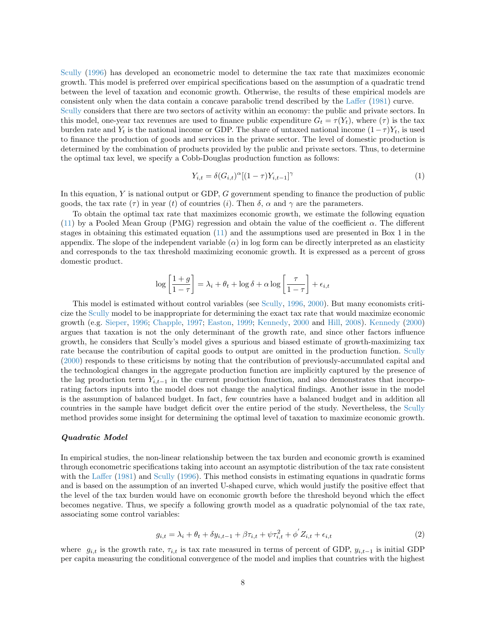[Scully](#page-21-0) [\(1996\)](#page-21-0) has developed an econometric model to determine the tax rate that maximizes economic growth. This model is preferred over empirical specifications based on the assumption of a quadratic trend between the level of taxation and economic growth. Otherwise, the results of these empirical models are consistent only when the data contain a concave parabolic trend described by the [Laffer](#page-21-3) [\(1981\)](#page-21-3) curve.

[Scully](#page-21-0) considers that there are two sectors of activity within an economy: the public and private sectors. In this model, one-year tax revenues are used to finance public expenditure  $G_t = \tau(Y_t)$ , where  $(\tau)$  is the tax burden rate and  $Y_t$  is the national income or GDP. The share of untaxed national income  $(1-\tau)Y_t$ , is used to finance the production of goods and services in the private sector. The level of domestic production is determined by the combination of products provided by the public and private sectors. Thus, to determine the optimal tax level, we specify a Cobb-Douglas production function as follows:

$$
Y_{i,t} = \delta(G_{i,t})^{\alpha} [(1-\tau)Y_{i,t-1}]^{\gamma}
$$
\n(1)

In this equation, Y is national output or GDP, G government spending to finance the production of public goods, the tax rate  $(\tau)$  in year  $(t)$  of countries  $(i)$ . Then  $\delta$ ,  $\alpha$  and  $\gamma$  are the parameters.

To obtain the optimal tax rate that maximizes economic growth, we estimate the following equation [\(11\)](#page-22-0) by a Pooled Mean Group (PMG) regression and obtain the value of the coefficient  $\alpha$ . The different stages in obtaining this estimated equation [\(11\)](#page-22-0) and the assumptions used are presented in Box 1 in the appendix. The slope of the independent variable  $(\alpha)$  in log form can be directly interpreted as an elasticity and corresponds to the tax threshold maximizing economic growth. It is expressed as a percent of gross domestic product.

$$
\log\left[\frac{1+g}{1-\tau}\right] = \lambda_i + \theta_t + \log\delta + \alpha \log\left[\frac{\tau}{1-\tau}\right] + \epsilon_{i,t}
$$

This model is estimated without control variables (see [Scully,](#page-21-0) [1996,](#page-21-0) [2000\)](#page-21-13). But many economists criticize the [Scully](#page-21-0) model to be inappropriate for determining the exact tax rate that would maximize economic growth (e.g. [Sieper,](#page-21-18) [1996;](#page-21-18) [Chapple,](#page-20-14) [1997;](#page-20-14) [Easton,](#page-20-15) [1999;](#page-20-15) [Kennedy,](#page-21-12) [2000](#page-21-12) and [Hill,](#page-20-16) [2008\)](#page-20-16). [Kennedy](#page-21-12) [\(2000\)](#page-21-12) argues that taxation is not the only determinant of the growth rate, and since other factors influence growth, he considers that Scully's model gives a spurious and biased estimate of growth-maximizing tax rate because the contribution of capital goods to output are omitted in the production function. [Scully](#page-21-13) [\(2000\)](#page-21-13) responds to these criticisms by noting that the contribution of previously-accumulated capital and the technological changes in the aggregate production function are implicitly captured by the presence of the lag production term  $Y_{i,t-1}$  in the current production function, and also demonstrates that incorporating factors inputs into the model does not change the analytical findings. Another issue in the model is the assumption of balanced budget. In fact, few countries have a balanced budget and in addition all countries in the sample have budget deficit over the entire period of the study. Nevertheless, the [Scully](#page-21-0) method provides some insight for determining the optimal level of taxation to maximize economic growth.

#### Quadratic Model

In empirical studies, the non-linear relationship between the tax burden and economic growth is examined through econometric specifications taking into account an asymptotic distribution of the tax rate consistent with the [Laffer](#page-21-3) [\(1981\)](#page-21-3) and [Scully](#page-21-0) [\(1996\)](#page-21-0). This method consists in estimating equations in quadratic forms and is based on the assumption of an inverted U-shaped curve, which would justify the positive effect that the level of the tax burden would have on economic growth before the threshold beyond which the effect becomes negative. Thus, we specify a following growth model as a quadratic polynomial of the tax rate, associating some control variables:

$$
g_{i,t} = \lambda_i + \theta_t + \delta y_{i,t-1} + \beta \tau_{i,t} + \psi \tau_{i,t}^2 + \phi' Z_{i,t} + \epsilon_{i,t}
$$
\n
$$
\tag{2}
$$

<span id="page-7-0"></span>where  $g_{i,t}$  is the growth rate,  $\tau_{i,t}$  is tax rate measured in terms of percent of GDP,  $y_{i,t-1}$  is initial GDP per capita measuring the conditional convergence of the model and implies that countries with the highest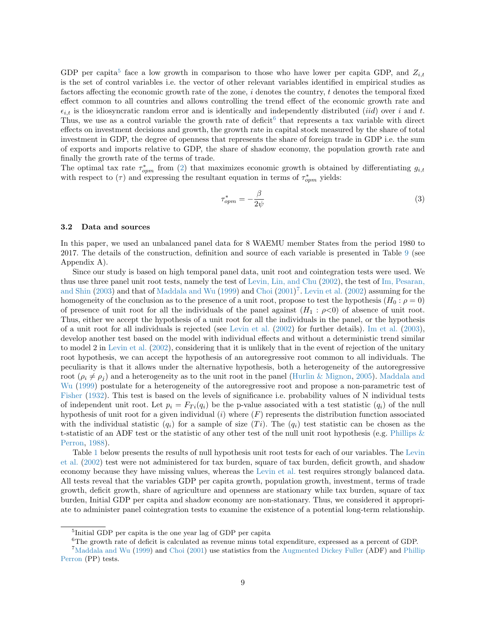GDP per capita<sup>[5](#page-0-0)</sup> face a low growth in comparison to those who have lower per capita GDP, and  $Z_{i,t}$ is the set of control variables i.e. the vector of other relevant variables identified in empirical studies as factors affecting the economic growth rate of the zone,  $i$  denotes the country,  $t$  denotes the temporal fixed effect common to all countries and allows controlling the trend effect of the economic growth rate and  $\epsilon_{i,t}$  is the idiosyncratic random error and is identically and independently distributed *(iid)* over i and t. Thus, we use as a control variable the growth rate of deficit<sup>[6](#page-0-0)</sup> that represents a tax variable with direct effects on investment decisions and growth, the growth rate in capital stock measured by the share of total investment in GDP, the degree of openness that represents the share of foreign trade in GDP i.e. the sum of exports and imports relative to GDP, the share of shadow economy, the population growth rate and finally the growth rate of the terms of trade.

<span id="page-8-0"></span>The optimal tax rate  $\tau_{opm}^*$  from [\(2\)](#page-7-0) that maximizes economic growth is obtained by differentiating  $g_{i,t}$ with respect to  $(\tau)$  and expressing the resultant equation in terms of  $\tau^*_{opm}$  yields:

$$
\tau_{opm}^* = -\frac{\beta}{2\psi} \tag{3}
$$

#### 3.2 Data and sources

In this paper, we used an unbalanced panel data for 8 WAEMU member States from the period 1980 to 2017. The details of the construction, definition and source of each variable is presented in Table [9](#page-25-0) (see Appendix A).

Since our study is based on high temporal panel data, unit root and cointegration tests were used. We thus use three panel unit root tests, namely the test of [Levin, Lin, and Chu](#page-21-19) [\(2002\)](#page-21-19), the test of [Im, Pesaran,](#page-20-17) [and Shin](#page-20-17) [\(2003\)](#page-20-17) and that of [Maddala and Wu](#page-21-20) [\(1999\)](#page-21-20) and [Choi](#page-20-18) [\(2001\)](#page-20-18)<sup>[7](#page-0-0)</sup>. [Levin et al.](#page-21-19) [\(2002\)](#page-21-19) assuming for the homogeneity of the conclusion as to the presence of a unit root, propose to test the hypothesis ( $H_0$ :  $\rho = 0$ ) of presence of unit root for all the individuals of the panel against  $(H_1: \rho<0)$  of absence of unit root. Thus, either we accept the hypothesis of a unit root for all the individuals in the panel, or the hypothesis of a unit root for all individuals is rejected (see [Levin et al.](#page-21-19) [\(2002\)](#page-21-19) for further details). [Im et al.](#page-20-17) [\(2003\)](#page-20-17), develop another test based on the model with individual effects and without a deterministic trend similar to model 2 in [Levin et al.](#page-21-19) [\(2002\)](#page-21-19), considering that it is unlikely that in the event of rejection of the unitary root hypothesis, we can accept the hypothesis of an autoregressive root common to all individuals. The peculiarity is that it allows under the alternative hypothesis, both a heterogeneity of the autoregressive root ( $\rho_i \neq \rho_j$ ) and a heterogeneity as to the unit root in the panel [\(Hurlin & Mignon,](#page-20-19) [2005\)](#page-20-19). [Maddala and](#page-21-20) [Wu](#page-21-20) [\(1999\)](#page-21-20) postulate for a heterogeneity of the autoregressive root and propose a non-parametric test of [Fisher](#page-20-20) [\(1932\)](#page-20-20). This test is based on the levels of significance i.e. probability values of N individual tests of independent unit root. Let  $p_i = F_{T_i}(q_i)$  be the p-value associated with a test statistic  $(q_i)$  of the null hypothesis of unit root for a given individual  $(i)$  where  $(F)$  represents the distribution function associated with the individual statistic  $(q_i)$  for a sample of size  $(T_i)$ . The  $(q_i)$  test statistic can be chosen as the t-statistic of an ADF test or the statistic of any other test of the null unit root hypothesis (e.g. [Phillips &](#page-21-21) [Perron,](#page-21-21) [1988\)](#page-21-21).

Table [1](#page-9-0) below presents the results of null hypothesis unit root tests for each of our variables. The [Levin](#page-21-19) [et al.](#page-21-19) [\(2002\)](#page-21-19) test were not administered for tax burden, square of tax burden, deficit growth, and shadow economy because they have missing values, whereas the [Levin et al.](#page-21-19) test requires strongly balanced data. All tests reveal that the variables GDP per capita growth, population growth, investment, terms of trade growth, deficit growth, share of agriculture and openness are stationary while tax burden, square of tax burden, Initial GDP per capita and shadow economy are non-stationary. Thus, we considered it appropriate to administer panel cointegration tests to examine the existence of a potential long-term relationship.

<sup>5</sup> Initial GDP per capita is the one year lag of GDP per capita

<sup>6</sup>The growth rate of deficit is calculated as revenue minus total expenditure, expressed as a percent of GDP.

<sup>7</sup>[Maddala and Wu](#page-21-20) [\(1999\)](#page-21-20) and [Choi](#page-20-18) [\(2001\)](#page-20-18) use statistics from the Augmented Dickey Fuller (ADF) and Phillip Perron (PP) tests.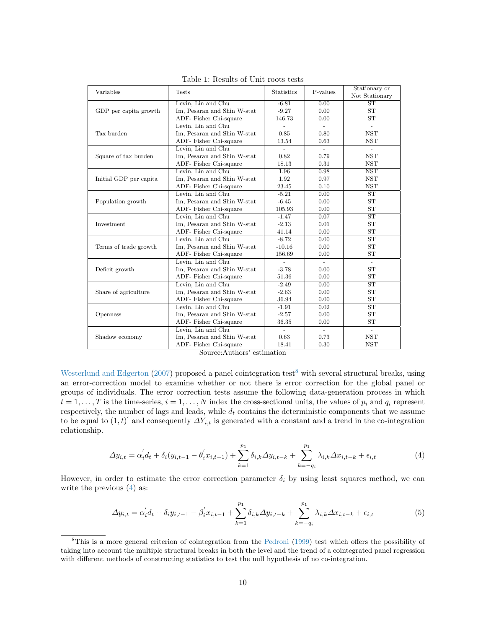<span id="page-9-0"></span>

| Variables              | <b>Tests</b>                | <b>Statistics</b>        | P-values                 | Stationary or               |
|------------------------|-----------------------------|--------------------------|--------------------------|-----------------------------|
|                        |                             | $-6.81$                  | 0.00                     | Not Stationary<br><b>ST</b> |
|                        | Levin, Lin and Chu          | $-9.27$                  |                          | <b>ST</b>                   |
| GDP per capita growth  | Im, Pesaran and Shin W-stat |                          | 0.00<br>0.00             | <b>ST</b>                   |
|                        | ADF- Fisher Chi-square      | 146.73                   |                          |                             |
|                        | Levin, Lin and Chu          | $\blacksquare$           | $\overline{\phantom{0}}$ | $\blacksquare$              |
| Tax burden             | Im, Pesaran and Shin W-stat | 0.85                     | 0.80                     | <b>NST</b>                  |
|                        | ADF- Fisher Chi-square      | 13.54                    | 0.63                     | <b>NST</b>                  |
|                        | Levin, Lin and Chu          |                          | $\overline{\phantom{a}}$ |                             |
| Square of tax burden   | Im, Pesaran and Shin W-stat | 0.82                     | 0.79                     | <b>NST</b>                  |
|                        | ADF- Fisher Chi-square      | 18.13                    | 0.31                     | <b>NST</b>                  |
|                        | Levin, Lin and Chu          | 1.96                     | 0.98                     | <b>NST</b>                  |
| Initial GDP per capita | Im, Pesaran and Shin W-stat | 1.92                     | 0.97                     | <b>NST</b>                  |
|                        | ADF- Fisher Chi-square      | 23.45                    | 0.10                     | <b>NST</b>                  |
|                        | Levin, Lin and Chu          | $-5.21$                  | 0.00                     | ST                          |
| Population growth      | Im, Pesaran and Shin W-stat | $-6.45$                  | 0.00                     | <b>ST</b>                   |
|                        | ADF- Fisher Chi-square      | 105.93                   | 0.00                     | <b>ST</b>                   |
|                        | Levin, Lin and Chu          | $-1.47$                  | 0.07                     | $\overline{\text{ST}}$      |
| Investment             | Im, Pesaran and Shin W-stat | $-2.13$                  | 0.01                     | <b>ST</b>                   |
|                        | ADF- Fisher Chi-square      | 41.14                    | 0.00                     | <b>ST</b>                   |
|                        | Levin, Lin and Chu          | $-8.72$                  | 0.00                     | $\overline{\text{ST}}$      |
| Terms of trade growth  | Im, Pesaran and Shin W-stat | $-10.16$                 | 0.00                     | <b>ST</b>                   |
|                        | ADF- Fisher Chi-square      | 156,69                   | 0.00                     | <b>ST</b>                   |
|                        | Levin, Lin and Chu          | $\overline{\phantom{a}}$ |                          | $\blacksquare$              |
| Deficit growth         | Im, Pesaran and Shin W-stat | $-3.78$                  | 0.00                     | <b>ST</b>                   |
|                        | ADF- Fisher Chi-square      | 51.36                    | 0.00                     | <b>ST</b>                   |
|                        | Levin, Lin and Chu          | $-2.49$                  | 0.00                     | $\overline{\text{ST}}$      |
| Share of agriculture   | Im, Pesaran and Shin W-stat | $-2.63$                  | 0.00                     | <b>ST</b>                   |
|                        | ADF- Fisher Chi-square      | 36.94                    | 0.00                     | <b>ST</b>                   |
|                        | Levin, Lin and Chu          | $-1.91$                  | 0.02                     | ST                          |
| Openness               | Im, Pesaran and Shin W-stat | $-2.57$                  | 0.00                     | <b>ST</b>                   |
|                        | ADF- Fisher Chi-square      | 36.35                    | 0.00                     | ST                          |
|                        | Levin, Lin and Chu          |                          |                          |                             |
| Shadow economy         | Im, Pesaran and Shin W-stat | 0.63                     | 0.73                     | <b>NST</b>                  |
|                        | ADF- Fisher Chi-square      | 18.41                    | 0.30                     | <b>NST</b>                  |
|                        | $\overline{1}$              |                          |                          |                             |

Table 1: Results of Unit roots tests

Source:Authors' estimation

[Westerlund and Edgerton](#page-21-22) [\(2007\)](#page-21-22) proposed a panel cointegration test<sup>[8](#page-0-0)</sup> with several structural breaks, using an error-correction model to examine whether or not there is error correction for the global panel or groups of individuals. The error correction tests assume the following data-generation process in which  $t = 1, \ldots, T$  is the time-series,  $i = 1, \ldots, N$  index the cross-sectional units, the values of  $p_i$  and  $q_i$  represent respectively, the number of lags and leads, while  $d_t$  contains the deterministic components that we assume to be equal to  $(1, t)'$  and consequently  $\Delta Y_{i,t}$  is generated with a constant and a trend in the co-integration relationship.

$$
\Delta y_{i,t} = \alpha_i' d_t + \delta_i (y_{i,t-1} - \theta_i' x_{i,t-1}) + \sum_{k=1}^{p_1} \delta_{i,k} \Delta y_{i,t-k} + \sum_{k=-q_i}^{p_1} \lambda_{i,k} \Delta x_{i,t-k} + \epsilon_{i,t}
$$
(4)

<span id="page-9-2"></span><span id="page-9-1"></span>However, in order to estimate the error correction parameter  $\delta_i$  by using least squares method, we can write the previous [\(4\)](#page-9-1) as:

$$
\Delta y_{i,t} = \alpha_i' d_t + \delta_i y_{i,t-1} - \beta_i' x_{i,t-1} + \sum_{k=1}^{p_1} \delta_{i,k} \Delta y_{i,t-k} + \sum_{k=-q_i}^{p_1} \lambda_{i,k} \Delta x_{i,t-k} + \epsilon_{i,t}
$$
(5)

<sup>8</sup>This is a more general criterion of cointegration from the [Pedroni](#page-21-23) [\(1999\)](#page-21-23) test which offers the possibility of taking into account the multiple structural breaks in both the level and the trend of a cointegrated panel regression with different methods of constructing statistics to test the null hypothesis of no co-integration.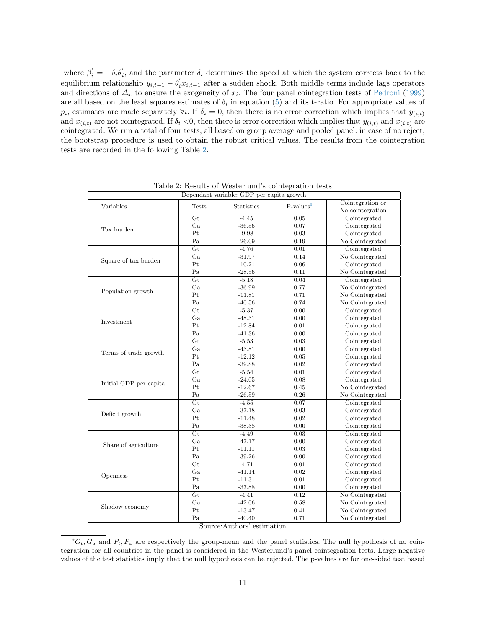where  $\beta'_i = -\delta_i \theta'_i$ , and the parameter  $\delta_i$  determines the speed at which the system corrects back to the equilibrium relationship  $y_{i,t-1} - \theta'_i x_{i,t-1}$  after a sudden shock. Both middle terms include lags operators and directions of  $\Delta_x$  to ensure the exogeneity of  $x_i$ . The four panel cointegration tests of [Pedroni](#page-21-23) [\(1999\)](#page-21-23) are all based on the least squares estimates of  $\delta_i$  in equation [\(5\)](#page-9-2) and its t-ratio. For appropriate values of  $p_i$ , estimates are made separately  $\forall i$ . If  $\delta_i = 0$ , then there is no error correction which implies that  $y_{(i,t)}$ and  $x_{(i,t)}$  are not cointegrated. If  $\delta_i$  <0, then there is error correction which implies that  $y_{(i,t)}$  and  $x_{(i,t)}$  are cointegrated. We run a total of four tests, all based on group average and pooled panel: in case of no reject, the bootstrap procedure is used to obtain the robust critical values. The results from the cointegration tests are recorded in the following Table [2.](#page-10-0)

<span id="page-10-0"></span>

| Dependant variable: GDP per capita growth |                 |                   |             |                                      |  |
|-------------------------------------------|-----------------|-------------------|-------------|--------------------------------------|--|
| Variables                                 | <b>Tests</b>    | <b>Statistics</b> | $P-values9$ | Cointegration or<br>No cointegration |  |
|                                           | Gt              | $-4.45$           | $\,0.05\,$  | Cointegrated                         |  |
| Tax burden                                | Ga              | $-36.56$          | 0.07        | Cointegrated                         |  |
|                                           | Pt              | $-9.98$           | 0.03        | Cointegrated                         |  |
|                                           | Pa              | $-26.09$          | 0.19        | No Cointegrated                      |  |
|                                           | $\overline{Gt}$ | $-4.76$           | 0.01        | Cointegrated                         |  |
|                                           | Ga              | $-31.97$          | 0.14        | No Cointegrated                      |  |
| Square of tax burden                      | Pt              | $-10.21$          | 0.06        | Cointegrated                         |  |
|                                           | Pa              | $-28.56$          | 0.11        | No Cointegrated                      |  |
|                                           | $\overline{Gt}$ | $-5.18$           | 0.04        | Cointegrated                         |  |
|                                           | Ga              | $-36.99$          | 0.77        | No Cointegrated                      |  |
| Population growth                         | Pt              | $-11.81$          | 0.71        | No Cointegrated                      |  |
|                                           | Pa              | $-40.56$          | 0.74        | No Cointegrated                      |  |
|                                           | $\overline{Gt}$ | $-5.37$           | 0.00        | Cointegrated                         |  |
|                                           | Ga              | $-48.31$          | 0.00        | Cointegrated                         |  |
| Investment                                | Pt              | $-12.84$          | 0.01        | Cointegrated                         |  |
|                                           | Pa              | $-41.36$          | 0.00        | Cointegrated                         |  |
|                                           | $\overline{Gt}$ | $-5.53$           | 0.03        | Cointegrated                         |  |
|                                           | Ga              | $-43.81$          | 0.00        | Cointegrated                         |  |
| Terms of trade growth                     | Pt              | $-12.12$          | $\rm 0.05$  | Cointegrated                         |  |
|                                           | Pa              | $-39.88$          | 0.02        | Cointegrated                         |  |
|                                           | $\overline{Gt}$ | $-5.54$           | 0.01        | Cointegrated                         |  |
|                                           | Ga              | $-24.05$          | 0.08        | Cointegrated                         |  |
| Initial GDP per capita                    | Pt              | $-12.67$          | 0.45        | No Cointegrated                      |  |
|                                           | $\rm Pa$        | $-26.59$          | 0.26        | No Cointegrated                      |  |
|                                           | Gt              | $-4.55$           | 0.07        | Cointegrated                         |  |
|                                           | Ga              | $-37.18$          | 0.03        | Cointegrated                         |  |
| Deficit growth                            | Pt              | $-11.48$          | 0.02        | Cointegrated                         |  |
|                                           | Pa              | $-38.38$          | 0.00        | Cointegrated                         |  |
|                                           | $\overline{Gt}$ | $-4.49$           | 0.03        | Cointegrated                         |  |
|                                           | Ga              | $-47.17$          | 0.00        | Cointegrated                         |  |
| Share of agriculture                      | Pt              | $-11.11$          | $\rm 0.03$  | Cointegrated                         |  |
|                                           | Pa              | $-39.26$          | 0.00        | Cointegrated                         |  |
|                                           | $\overline{Gt}$ | $-4.71$           | 0.01        | Cointegrated                         |  |
| Openness                                  | Ga              | $-41.14$          | 0.02        | Cointegrated                         |  |
|                                           | Pt              | $-11.31$          | 0.01        | Cointegrated                         |  |
|                                           | Pa              | $-37.88$          | 0.00        | Cointegrated                         |  |
|                                           | $\overline{Gt}$ | $-4.41$           | 0.12        | No Cointegrated                      |  |
|                                           | Ga              | $-42.06$          | 0.58        | No Cointegrated                      |  |
| Shadow economy                            |                 |                   |             |                                      |  |
|                                           | Pt              | $-13.47$          | 0.41        | No Cointegrated                      |  |

Table 2: Results of Westerlund's cointegration tests

Source:Authors' estimation

 ${}^9G_t$ ,  $G_a$  and  $P_t$ ,  $P_a$  are respectively the group-mean and the panel statistics. The null hypothesis of no cointegration for all countries in the panel is considered in the Westerlund's panel cointegration tests. Large negative values of the test statistics imply that the null hypothesis can be rejected. The p-values are for one-sided test based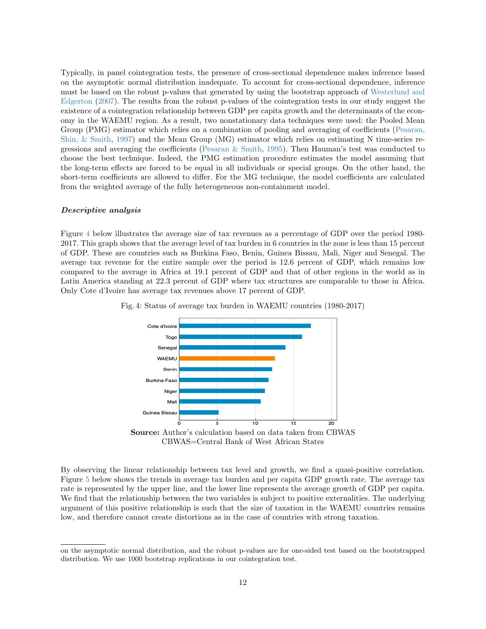Typically, in panel cointegration tests, the presence of cross-sectional dependence makes inference based on the asymptotic normal distribution inadequate. To account for cross-sectional dependence, inference must be based on the robust p-values that generated by using the bootstrap approach of [Westerlund and](#page-21-22) [Edgerton](#page-21-22) [\(2007\)](#page-21-22). The results from the robust p-values of the cointegration tests in our study suggest the existence of a cointegration relationship between GDP per capita growth and the determinants of the economy in the WAEMU region. As a result, two nonstationary data techniques were used: the Pooled Mean Group (PMG) estimator which relies on a combination of pooling and averaging of coefficients [\(Pesaran,](#page-21-24) [Shin, & Smith,](#page-21-24) [1997\)](#page-21-24) and the Mean Group (MG) estimator which relies on estimating N time-series regressions and averaging the coefficients (Pesaran  $\&$  Smith, [1995\)](#page-21-25). Then Hauman's test was conducted to choose the best technique. Indeed, the PMG estimation procedure estimates the model assuming that the long-term effects are forced to be equal in all individuals or special groups. On the other hand, the short-term coefficients are allowed to differ. For the MG technique, the model coefficients are calculated from the weighted average of the fully heterogeneous non-containment model.

#### Descriptive analysis

Figure [4](#page-11-0) below illustrates the average size of tax revenues as a percentage of GDP over the period 1980- 2017. This graph shows that the average level of tax burden in 6 countries in the zone is less than 15 percent of GDP. These are countries such as Burkina Faso, Benin, Guinea Bissau, Mali, Niger and Senegal. The average tax revenue for the entire sample over the period is 12.6 percent of GDP, which remains low compared to the average in Africa at 19.1 percent of GDP and that of other regions in the world as in Latin America standing at 22.3 percent of GDP where tax structures are comparable to those in Africa. Only Cote d'Ivoire has average tax revenues above 17 percent of GDP.



<span id="page-11-0"></span>Fig. 4: Status of average tax burden in WAEMU countries (1980-2017)

By observing the linear relationship between tax level and growth, we find a quasi-positive correlation. Figure [5](#page-12-0) below shows the trends in average tax burden and per capita GDP growth rate. The average tax rate is represented by the upper line, and the lower line represents the average growth of GDP per capita. We find that the relationship between the two variables is subject to positive externalities. The underlying argument of this positive relationship is such that the size of taxation in the WAEMU countries remains low, and therefore cannot create distortions as in the case of countries with strong taxation.

on the asymptotic normal distribution, and the robust p-values are for one-sided test based on the bootstrapped distribution. We use 1000 bootstrap replications in our cointegration test.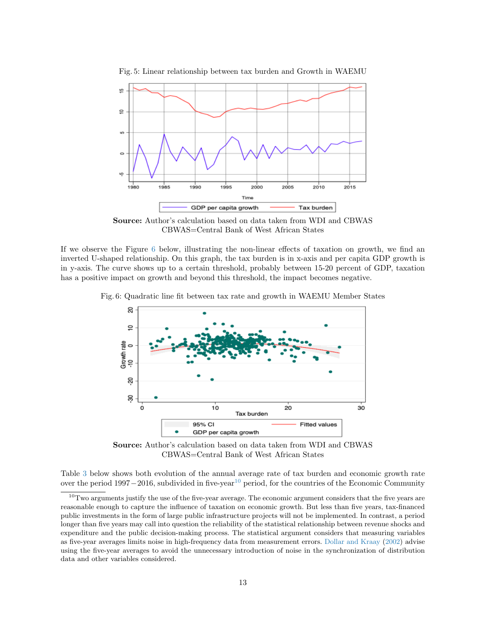

<span id="page-12-0"></span>Fig. 5: Linear relationship between tax burden and Growth in WAEMU

Source: Author's calculation based on data taken from WDI and CBWAS CBWAS=Central Bank of West African States

If we observe the Figure [6](#page-12-1) below, illustrating the non-linear effects of taxation on growth, we find an inverted U-shaped relationship. On this graph, the tax burden is in x-axis and per capita GDP growth is in y-axis. The curve shows up to a certain threshold, probably between 15-20 percent of GDP, taxation has a positive impact on growth and beyond this threshold, the impact becomes negative.

<span id="page-12-1"></span>Fig. 6: Quadratic line fit between tax rate and growth in WAEMU Member States



Source: Author's calculation based on data taken from WDI and CBWAS CBWAS=Central Bank of West African States

Table [3](#page-13-0) below shows both evolution of the annual average rate of tax burden and economic growth rate over the period 1997−2016, subdivided in five-year<sup>[10](#page-0-0)</sup> period, for the countries of the Economic Community

 $10$ Two arguments justify the use of the five-year average. The economic argument considers that the five years are reasonable enough to capture the influence of taxation on economic growth. But less than five years, tax-financed public investments in the form of large public infrastructure projects will not be implemented. In contrast, a period longer than five years may call into question the reliability of the statistical relationship between revenue shocks and expenditure and the public decision-making process. The statistical argument considers that measuring variables as five-year averages limits noise in high-frequency data from measurement errors. [Dollar and Kraay](#page-20-21) [\(2002\)](#page-20-21) advise using the five-year averages to avoid the unnecessary introduction of noise in the synchronization of distribution data and other variables considered.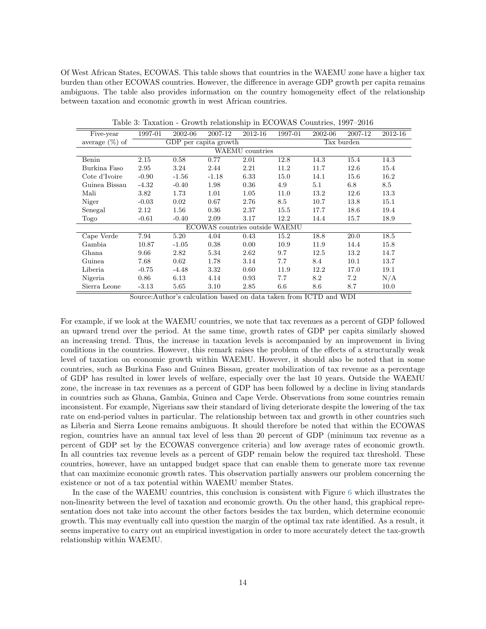Of West African States, ECOWAS. This table shows that countries in the WAEMU zone have a higher tax burden than other ECOWAS countries. However, the difference in average GDP growth per capita remains ambiguous. The table also provides information on the country homogeneity effect of the relationship between taxation and economic growth in west African countries.

<span id="page-13-0"></span>

| Five-year         | 1997-01 | 2002-06               | 2007-12                        | 2012-16         | 1997-01 | 2002-06 | 2007-12    | 2012-16 |
|-------------------|---------|-----------------------|--------------------------------|-----------------|---------|---------|------------|---------|
| average $(\%)$ of |         | GDP per capita growth |                                |                 |         |         | Tax burden |         |
|                   |         |                       |                                | WAEMU countries |         |         |            |         |
| Benin             | 2.15    | 0.58                  | 0.77                           | 2.01            | 12.8    | 14.3    | 15.4       | 14.3    |
| Burkina Faso      | 2.95    | 3.24                  | 2.44                           | 2.21            | 11.2    | 11.7    | 12.6       | 15.4    |
| Cote d'Ivoire     | $-0.90$ | $-1.56$               | $-1.18$                        | 6.33            | 15.0    | 14.1    | 15.6       | 16.2    |
| Guinea Bissau     | $-4.32$ | $-0.40$               | 1.98                           | 0.36            | 4.9     | 5.1     | 6.8        | 8.5     |
| Mali              | 3.82    | 1.73                  | 1.01                           | 1.05            | 11.0    | 13.2    | 12.6       | 13.3    |
| Niger             | $-0.03$ | 0.02                  | 0.67                           | 2.76            | 8.5     | 10.7    | 13.8       | 15.1    |
| Senegal           | 2.12    | 1.56                  | 0.36                           | 2.37            | 15.5    | 17.7    | 18.6       | 19.4    |
| Togo              | $-0.61$ | $-0.40$               | 2.09                           | 3.17            | 12.2    | 14.4    | 15.7       | 18.9    |
|                   |         |                       | ECOWAS countries outside WAEMU |                 |         |         |            |         |
| Cape Verde        | 7.94    | 5.20                  | 4.04                           | 0.43            | 15.2    | 18.8    | 20.0       | 18.5    |
| Gambia            | 10.87   | $-1.05$               | 0.38                           | 0.00            | 10.9    | 11.9    | 14.4       | 15.8    |
| Ghana             | 9.66    | 2.82                  | 5.34                           | 2.62            | 9.7     | 12.5    | 13.2       | 14.7    |
| Guinea            | 7.68    | 0.62                  | 1.78                           | 3.14            | 7.7     | 8.4     | 10.1       | 13.7    |
| Liberia           | $-0.75$ | $-4.48$               | 3.32                           | 0.60            | 11.9    | 12.2    | 17.0       | 19.1    |
| Nigeria           | 0.86    | 6.13                  | 4.14                           | 0.93            | 7.7     | 8.2     | 7.2        | N/A     |
| Sierra Leone      | $-3.13$ | 5.65                  | 3.10                           | 2.85            | 6.6     | 8.6     | 8.7        | 10.0    |

Table 3: Taxation - Growth relationship in ECOWAS Countries, 1997–2016

Source:Author's calculation based on data taken from ICTD and WDI

For example, if we look at the WAEMU countries, we note that tax revenues as a percent of GDP followed an upward trend over the period. At the same time, growth rates of GDP per capita similarly showed an increasing trend. Thus, the increase in taxation levels is accompanied by an improvement in living conditions in the countries. However, this remark raises the problem of the effects of a structurally weak level of taxation on economic growth within WAEMU. However, it should also be noted that in some countries, such as Burkina Faso and Guinea Bissau, greater mobilization of tax revenue as a percentage of GDP has resulted in lower levels of welfare, especially over the last 10 years. Outside the WAEMU zone, the increase in tax revenues as a percent of GDP has been followed by a decline in living standards in countries such as Ghana, Gambia, Guinea and Cape Verde. Observations from some countries remain inconsistent. For example, Nigerians saw their standard of living deteriorate despite the lowering of the tax rate on end-period values in particular. The relationship between tax and growth in other countries such as Liberia and Sierra Leone remains ambiguous. It should therefore be noted that within the ECOWAS region, countries have an annual tax level of less than 20 percent of GDP (minimum tax revenue as a percent of GDP set by the ECOWAS convergence criteria) and low average rates of economic growth. In all countries tax revenue levels as a percent of GDP remain below the required tax threshold. These countries, however, have an untapped budget space that can enable them to generate more tax revenue that can maximize economic growth rates. This observation partially answers our problem concerning the existence or not of a tax potential within WAEMU member States.

In the case of the WAEMU countries, this conclusion is consistent with Figure [6](#page-12-1) which illustrates the non-linearity between the level of taxation and economic growth. On the other hand, this graphical representation does not take into account the other factors besides the tax burden, which determine economic growth. This may eventually call into question the margin of the optimal tax rate identified. As a result, it seems imperative to carry out an empirical investigation in order to more accurately detect the tax-growth relationship within WAEMU.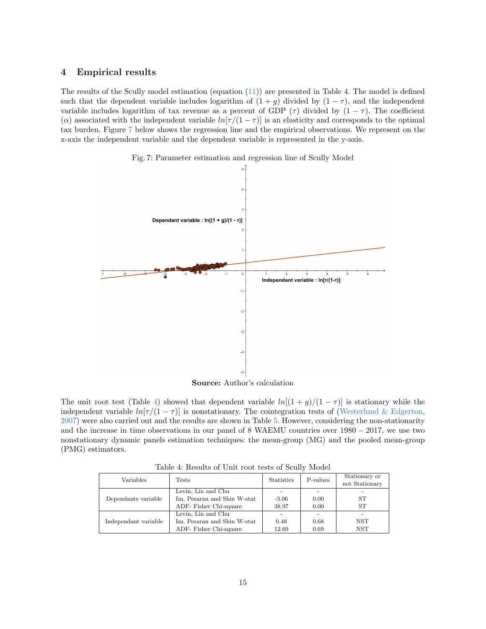### 4 Empirical results

The results of the Scully model estimation (equation [\(11\)](#page-22-0)) are presented in Table 4. The model is defined such that the dependent variable includes logarithm of  $(1 + g)$  divided by  $(1 - \tau)$ , and the independent variable includes logarithm of tax revenue as a percent of GDP  $(\tau)$  divided by  $(1 - \tau)$ . The coefficient ( $\alpha$ ) associated with the independent variable  $ln[\tau/(1 - \tau)]$  is an elasticity and corresponds to the optimal tax burden. Figure [7](#page-14-0) below shows the regression line and the empirical observations. We represent on the x-axis the independent variable and the dependent variable is represented in the y-axis.



<span id="page-14-0"></span>

Source: Author's calculation

The unit root test (Table [4\)](#page-14-1) showed that dependent variable  $ln[(1+g)/(1-\tau)]$  is stationary while the independent variable  $ln[\tau/(1 - \tau)]$  is nonstationary. The cointegration tests of [\(Westerlund & Edgerton,](#page-21-22) [2007\)](#page-21-22) were also carried out and the results are shown in Table [5.](#page-15-0) However, considering the non-stationarity and the increase in time observations in our panel of 8 WAEMU countries over 1980 − 2017, we use two nonstationary dynamic panels estimation techniques: the mean-group (MG) and the pooled mean-group (PMG) estimators.

Table 4: Results of Unit root tests of Scully Model

<span id="page-14-1"></span>

| Variables            | Tests                       | <b>Statistics</b> | P-values | Stationary or<br>not Stationary |
|----------------------|-----------------------------|-------------------|----------|---------------------------------|
|                      | Levin, Lin and Chu          |                   |          |                                 |
| Dependante variable  | Im, Pesaran and Shin W-stat | $-3.06$           | 0.00     | ST                              |
|                      | ADF- Fisher Chi-square      | 38.97             | 0.00     | <b>ST</b>                       |
|                      | Levin, Lin and Chu          |                   |          |                                 |
| Independant variable | Im, Pesaran and Shin W-stat | 0.48              | 0.68     | NST                             |
|                      | ADF-Fisher Chi-square       | 12.69             | 0.69     | NST                             |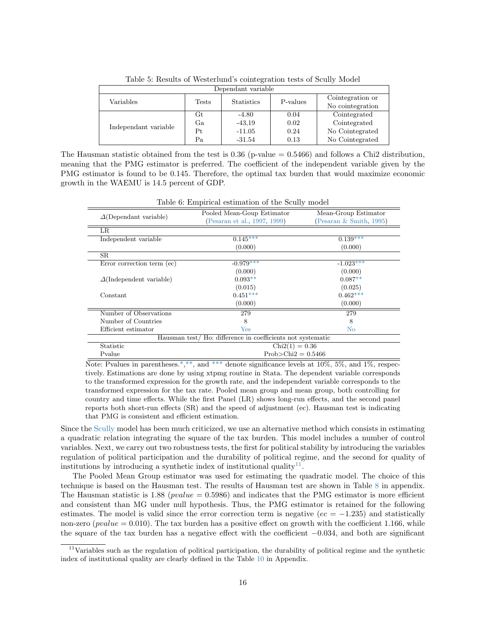<span id="page-15-0"></span>

| Dependant variable        |     |                   |          |                  |  |
|---------------------------|-----|-------------------|----------|------------------|--|
| Variables<br><b>Tests</b> |     | <b>Statistics</b> | P-values | Cointegration or |  |
|                           |     |                   |          | No cointegration |  |
|                           | Gt  | $-4.80$           | 0.04     | Cointegrated     |  |
| Independant variable      | Ga. | $-43.19$          | 0.02     | Cointegrated     |  |
|                           | Pt. | $-11.05$          | 0.24     | No Cointegrated  |  |
|                           | Pa  | $-31.54$          | 0.13     | No Cointegrated  |  |

Table 5: Results of Westerlund's cointegration tests of Scully Model

The Hausman statistic obtained from the test is  $0.36$  (p-value  $= 0.5466$ ) and follows a Chi2 distribution, meaning that the PMG estimator is preferred. The coefficient of the independent variable given by the PMG estimator is found to be 0.145. Therefore, the optimal tax burden that would maximize economic growth in the WAEMU is 14.5 percent of GDP.

|                                 | Pooled Mean-Goup Estimator                                 | Mean-Group Estimator       |  |  |
|---------------------------------|------------------------------------------------------------|----------------------------|--|--|
| $\Delta$ (Dependant variable)   | (Pesaran et al., 1997, 1999)                               | (Pesaran $\&$ Smith, 1995) |  |  |
| LR                              |                                                            |                            |  |  |
| Independent variable            | $0.145***$                                                 | $0.139***$                 |  |  |
|                                 | (0.000)                                                    | (0.000)                    |  |  |
| $_{\rm SR}$                     |                                                            |                            |  |  |
| Error correction term (ec)      | $-0.979***$                                                | $-1.023***$                |  |  |
|                                 | (0.000)                                                    | (0.000)                    |  |  |
| $\Delta$ (Independent variable) | $0.093**$                                                  | $0.087**$                  |  |  |
|                                 | (0.015)                                                    | (0.025)                    |  |  |
| Constant                        | $0.451***$                                                 | $0.462***$                 |  |  |
|                                 | (0.000)                                                    | (0.000)                    |  |  |
| Number of Observations          | 279                                                        | 279                        |  |  |
| Number of Countries             | 8                                                          | 8                          |  |  |
| Efficient estimator             | $\operatorname{Yes}$                                       | N <sub>o</sub>             |  |  |
|                                 | Hausman test/Ho: difference in coefficients not systematic |                            |  |  |
| Statistic                       | $Chi2(1) = 0.36$                                           |                            |  |  |
| Pvalue                          | $Prob > Chi2 = 0.5466$                                     |                            |  |  |

Table 6: Empirical estimation of the Scully model

Note: Pvalues in parentheses.\*,\*\*, and \*\*\* denote significance levels at  $10\%$ ,  $5\%$ , and  $1\%$ , respectively. Estimations are done by using xtpmg routine in Stata. The dependent variable corresponds to the transformed expression for the growth rate, and the independent variable corresponds to the transformed expression for the tax rate. Pooled mean group and mean group, both controlling for country and time effects. While the first Panel (LR) shows long-run effects, and the second panel reports both short-run effects (SR) and the speed of adjustment (ec). Hausman test is indicating that PMG is consistent and efficient estimation.

Since the [Scully](#page-21-0) model has been much criticized, we use an alternative method which consists in estimating a quadratic relation integrating the square of the tax burden. This model includes a number of control variables. Next, we carry out two robustness tests, the first for political stability by introducing the variables regulation of political participation and the durability of political regime, and the second for quality of institutions by introducing a synthetic index of institutional quality $^{11}$  $^{11}$  $^{11}$ .

The Pooled Mean Group estimator was used for estimating the quadratic model. The choice of this technique is based on the Hausman test. The results of Hausman test are shown in Table [8](#page-23-0) in appendix. The Hausman statistic is 1.88 (*pvalue* = 0.5986) and indicates that the PMG estimator is more efficient and consistent than MG under null hypothesis. Thus, the PMG estimator is retained for the following estimates. The model is valid since the error correction term is negative ( $ec = -1.235$ ) and statistically non-zero (*pvalue* = 0.010). The tax burden has a positive effect on growth with the coefficient 1.166, while the square of the tax burden has a negative effect with the coefficient −0.034, and both are significant

 $11$ Variables such as the regulation of political participation, the durability of political regime and the synthetic index of institutional quality are clearly defined in the Table [10](#page-26-0) in Appendix.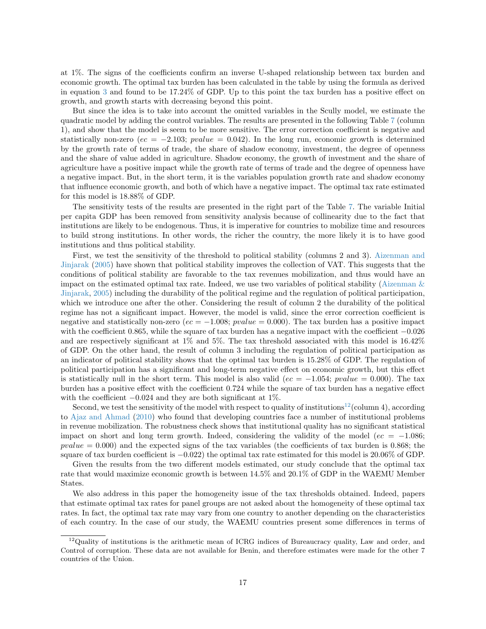at 1%. The signs of the coefficients confirm an inverse U-shaped relationship between tax burden and economic growth. The optimal tax burden has been calculated in the table by using the formula as derived in equation [3](#page-8-0) and found to be 17.24% of GDP. Up to this point the tax burden has a positive effect on growth, and growth starts with decreasing beyond this point.

But since the idea is to take into account the omitted variables in the Scully model, we estimate the quadratic model by adding the control variables. The results are presented in the following Table [7](#page-18-0) (column 1), and show that the model is seem to be more sensitive. The error correction coefficient is negative and statistically non-zero ( $ec = -2.103$ ;  $pvalue = 0.042$ ). In the long run, economic growth is determined by the growth rate of terms of trade, the share of shadow economy, investment, the degree of openness and the share of value added in agriculture. Shadow economy, the growth of investment and the share of agriculture have a positive impact while the growth rate of terms of trade and the degree of openness have a negative impact. But, in the short term, it is the variables population growth rate and shadow economy that influence economic growth, and both of which have a negative impact. The optimal tax rate estimated for this model is 18.88% of GDP.

The sensitivity tests of the results are presented in the right part of the Table [7.](#page-18-0) The variable Initial per capita GDP has been removed from sensitivity analysis because of collinearity due to the fact that institutions are likely to be endogenous. Thus, it is imperative for countries to mobilize time and resources to build strong institutions. In other words, the richer the country, the more likely it is to have good institutions and thus political stability.

First, we test the sensitivity of the threshold to political stability (columns 2 and 3). [Aizenman and](#page-20-22) [Jinjarak](#page-20-22) [\(2005\)](#page-20-22) have shown that political stability improves the collection of VAT. This suggests that the conditions of political stability are favorable to the tax revenues mobilization, and thus would have an impact on the estimated optimal tax rate. Indeed, we use two variables of political stability (Aizenman  $\&$ [Jinjarak,](#page-20-22) [2005\)](#page-20-22) including the durability of the political regime and the regulation of political participation, which we introduce one after the other. Considering the result of column 2 the durability of the political regime has not a significant impact. However, the model is valid, since the error correction coefficient is negative and statistically non-zero ( $ec = -1.008$ ;  $pvalue = 0.000$ ). The tax burden has a positive impact with the coefficient 0.865, while the square of tax burden has a negative impact with the coefficient −0.026 and are respectively significant at 1% and 5%. The tax threshold associated with this model is 16.42% of GDP. On the other hand, the result of column 3 including the regulation of political participation as an indicator of political stability shows that the optimal tax burden is 15.28% of GDP. The regulation of political participation has a significant and long-term negative effect on economic growth, but this effect is statistically null in the short term. This model is also valid ( $ec = -1.054$ ; pvalue = 0.000). The tax burden has a positive effect with the coefficient 0.724 while the square of tax burden has a negative effect with the coefficient  $-0.024$  and they are both significant at 1%.

Second, we test the sensitivity of the model with respect to quality of institutions<sup>[12](#page-0-0)</sup>(column 4), according to [Ajaz and Ahmad](#page-20-23) [\(2010\)](#page-20-23) who found that developing countries face a number of institutional problems in revenue mobilization. The robustness check shows that institutional quality has no significant statistical impact on short and long term growth. Indeed, considering the validity of the model ( $ec = -1.086$ ;  $pvalue = 0.000$  and the expected signs of the tax variables (the coefficients of tax burden is 0.868; the square of tax burden coefficient is −0.022) the optimal tax rate estimated for this model is 20.06% of GDP.

Given the results from the two different models estimated, our study conclude that the optimal tax rate that would maximize economic growth is between 14.5% and 20.1% of GDP in the WAEMU Member States.

We also address in this paper the homogeneity issue of the tax thresholds obtained. Indeed, papers that estimate optimal tax rates for panel groups are not asked about the homogeneity of these optimal tax rates. In fact, the optimal tax rate may vary from one country to another depending on the characteristics of each country. In the case of our study, the WAEMU countries present some differences in terms of

 $12$ Quality of institutions is the arithmetic mean of ICRG indices of Bureaucracy quality, Law and order, and Control of corruption. These data are not available for Benin, and therefore estimates were made for the other 7 countries of the Union.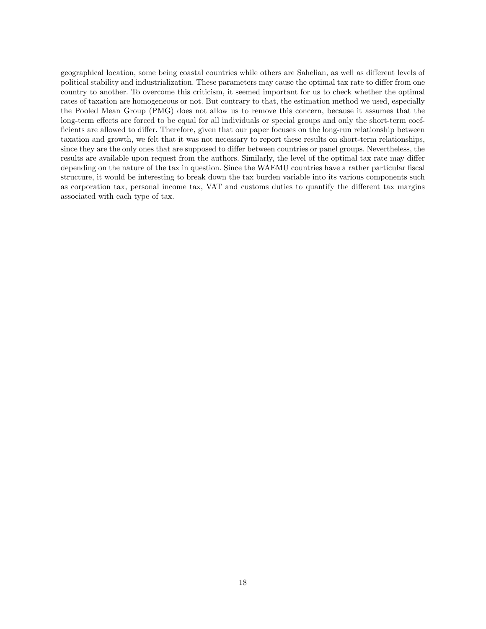geographical location, some being coastal countries while others are Sahelian, as well as different levels of political stability and industrialization. These parameters may cause the optimal tax rate to differ from one country to another. To overcome this criticism, it seemed important for us to check whether the optimal rates of taxation are homogeneous or not. But contrary to that, the estimation method we used, especially the Pooled Mean Group (PMG) does not allow us to remove this concern, because it assumes that the long-term effects are forced to be equal for all individuals or special groups and only the short-term coefficients are allowed to differ. Therefore, given that our paper focuses on the long-run relationship between taxation and growth, we felt that it was not necessary to report these results on short-term relationships, since they are the only ones that are supposed to differ between countries or panel groups. Nevertheless, the results are available upon request from the authors. Similarly, the level of the optimal tax rate may differ depending on the nature of the tax in question. Since the WAEMU countries have a rather particular fiscal structure, it would be interesting to break down the tax burden variable into its various components such as corporation tax, personal income tax, VAT and customs duties to quantify the different tax margins associated with each type of tax.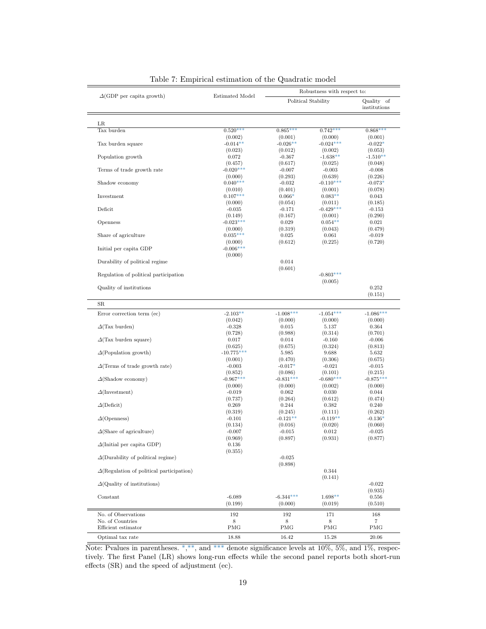<span id="page-18-0"></span>

| Political Stability<br>Quality of<br>institutions<br>$0.520***$<br>$0.865***$<br>$0.742***$<br>$0.868***$<br>(0.002)<br>(0.001)<br>(0.001)<br>(0.000)<br>$-0.024***$<br>$-0.014**$<br>$-0.026**$<br>$-0.022*$<br>(0.023)<br>(0.012)<br>(0.002)<br>(0.053)<br>$-1.638**$<br>0.072<br>$-0.367$<br>$-1.510**$<br>(0.457)<br>(0.617)<br>(0.025)<br>(0.048)<br>$-0.020***$<br>$-0.007$<br>$-0.003$<br>$-0.008$<br>(0.293)<br>(0.639)<br>(0.000)<br>(0.226)<br>$0.040***$<br>$-0.110***$<br>$-0.032$<br>$-0.073*$<br>(0.401)<br>(0.001)<br>(0.078)<br>(0.010)<br>$0.107***$<br>$0.066*$<br>$0.083**$<br>0.043<br>(0.000)<br>(0.054)<br>(0.011)<br>(0.185)<br>$-0.429***$<br>$-0.035$<br>$-0.171$<br>$-0.153$<br>(0.149)<br>(0.167)<br>(0.290)<br>(0.001)<br>$-0.023***$<br>$0.054**$<br>0.029<br>0.021<br>(0.000)<br>(0.319)<br>(0.043)<br>(0.479)<br>$0.035***$<br>0.025<br>0.061<br>$-0.019$<br>(0.612)<br>(0.225)<br>(0.720)<br>(0.000)<br>$-0.006***$<br>(0.000)<br>0.014<br>(0.601)<br>$-0.803***$<br>(0.005)<br>0.252<br>(0.151)<br>$-1.008***$<br>$-2.103**$<br>$-1.054***$<br>(0.000)<br>(0.000)<br>(0.000)<br>(0.042)<br>$-0.328$<br>0.015<br>5.137<br>0.364<br>(0.988)<br>(0.314)<br>(0.701)<br>(0.728)<br>0.017<br>0.014<br>$-0.160$<br>$-0.006$<br>(0.625)<br>(0.675)<br>(0.324)<br>(0.813)<br>$-10.775***$<br>5.985<br>9.688<br>5.632<br>(0.306)<br>(0.001)<br>(0.470)<br>(0.675)<br>$-0.017*$<br>$-0.003$<br>$-0.021$<br>$-0.015$<br>(0.852)<br>(0.086)<br>(0.101)<br>(0.215)<br>$-0.967***$<br>$-0.831***$<br>$-0.680***$<br>(0.000)<br>(0.000)<br>(0.002)<br>(0.000)<br>$-0.019$<br>0.062<br>0.030<br>0.044<br>(0.737)<br>(0.264)<br>(0.612)<br>(0.474)<br>0.269<br>0.244<br>0.382<br>0.240<br>(0.319)<br>(0.245)<br>(0.111)<br>(0.262)<br>$-0.121**$<br>$-0.119**$<br>$-0.101$<br>$-0.136*$<br>(0.134)<br>(0.016)<br>(0.020)<br>(0.060)<br>$-0.007$<br>$-0.015$<br>0.012<br>$-0.025$<br>(0.969)<br>(0.897)<br>(0.931)<br>(0.877)<br>$\Delta$ (Initial per capita GDP)<br>0.136<br>(0.355)<br>$-0.025$<br>(0.898)<br>0.344<br>(0.141)<br>$-0.022$<br>(0.935)<br>$-6.344***$<br>$-6.089$<br>$1.698**$<br>0.556<br>(0.199)<br>(0.000)<br>(0.019)<br>(0.510)<br>192<br>192<br>171<br>168<br>8<br>8<br>7<br>8<br><b>PMG</b><br>PMG<br>PMG<br><b>PMG</b><br>18.88<br>16.42<br>15.28<br>20.06 | $\Delta$ (GDP per capita growth) | Estimated Model |  | Robustness with respect to: |  |
|---------------------------------------------------------------------------------------------------------------------------------------------------------------------------------------------------------------------------------------------------------------------------------------------------------------------------------------------------------------------------------------------------------------------------------------------------------------------------------------------------------------------------------------------------------------------------------------------------------------------------------------------------------------------------------------------------------------------------------------------------------------------------------------------------------------------------------------------------------------------------------------------------------------------------------------------------------------------------------------------------------------------------------------------------------------------------------------------------------------------------------------------------------------------------------------------------------------------------------------------------------------------------------------------------------------------------------------------------------------------------------------------------------------------------------------------------------------------------------------------------------------------------------------------------------------------------------------------------------------------------------------------------------------------------------------------------------------------------------------------------------------------------------------------------------------------------------------------------------------------------------------------------------------------------------------------------------------------------------------------------------------------------------------------------------------------------------------------------------------------------------------------------------------------------------------------------------------------------------------------------------------------------------------------------|----------------------------------|-----------------|--|-----------------------------|--|
| LR.<br>Population growth<br>Terms of trade growth rate<br>Shadow economy<br>Investment<br>Deficit<br>Openness<br>Share of agriculture<br>Initial per capita GDP<br>Durability of political regime<br>Regulation of political participation<br>Quality of institutions<br>$_{\rm SR}$<br>Error correction term (ec)<br>$\Delta$ (Tax burden)<br>$\Delta$ (Tax burden square)<br>$\Delta$ (Population growth)<br>$\Delta$ (Terms of trade growth rate)<br>$\Delta$ (Shadow economy)<br>$\Delta$ (Investment)<br>$\Delta$ (Deficit)<br>$\Delta$ (Openness)<br>$\Delta$ (Share of agriculture)<br>$\Delta$ (Durability of political regime)<br>$\Delta$ (Regulation of political participation)<br>$\Delta$ (Quality of institutions)<br>Constant<br>Optimal tax rate                                                                                                                                                                                                                                                                                                                                                                                                                                                                                                                                                                                                                                                                                                                                                                                                                                                                                                                                                                                                                                                                                                                                                                                                                                                                                                                                                                                                                                                                                                                                 |                                  |                 |  |                             |  |
| $-1.086***$<br>$-0.875***$                                                                                                                                                                                                                                                                                                                                                                                                                                                                                                                                                                                                                                                                                                                                                                                                                                                                                                                                                                                                                                                                                                                                                                                                                                                                                                                                                                                                                                                                                                                                                                                                                                                                                                                                                                                                                                                                                                                                                                                                                                                                                                                                                                                                                                                                        |                                  |                 |  |                             |  |
|                                                                                                                                                                                                                                                                                                                                                                                                                                                                                                                                                                                                                                                                                                                                                                                                                                                                                                                                                                                                                                                                                                                                                                                                                                                                                                                                                                                                                                                                                                                                                                                                                                                                                                                                                                                                                                                                                                                                                                                                                                                                                                                                                                                                                                                                                                   | Tax burden                       |                 |  |                             |  |
|                                                                                                                                                                                                                                                                                                                                                                                                                                                                                                                                                                                                                                                                                                                                                                                                                                                                                                                                                                                                                                                                                                                                                                                                                                                                                                                                                                                                                                                                                                                                                                                                                                                                                                                                                                                                                                                                                                                                                                                                                                                                                                                                                                                                                                                                                                   |                                  |                 |  |                             |  |
|                                                                                                                                                                                                                                                                                                                                                                                                                                                                                                                                                                                                                                                                                                                                                                                                                                                                                                                                                                                                                                                                                                                                                                                                                                                                                                                                                                                                                                                                                                                                                                                                                                                                                                                                                                                                                                                                                                                                                                                                                                                                                                                                                                                                                                                                                                   | Tax burden square                |                 |  |                             |  |
|                                                                                                                                                                                                                                                                                                                                                                                                                                                                                                                                                                                                                                                                                                                                                                                                                                                                                                                                                                                                                                                                                                                                                                                                                                                                                                                                                                                                                                                                                                                                                                                                                                                                                                                                                                                                                                                                                                                                                                                                                                                                                                                                                                                                                                                                                                   |                                  |                 |  |                             |  |
|                                                                                                                                                                                                                                                                                                                                                                                                                                                                                                                                                                                                                                                                                                                                                                                                                                                                                                                                                                                                                                                                                                                                                                                                                                                                                                                                                                                                                                                                                                                                                                                                                                                                                                                                                                                                                                                                                                                                                                                                                                                                                                                                                                                                                                                                                                   |                                  |                 |  |                             |  |
|                                                                                                                                                                                                                                                                                                                                                                                                                                                                                                                                                                                                                                                                                                                                                                                                                                                                                                                                                                                                                                                                                                                                                                                                                                                                                                                                                                                                                                                                                                                                                                                                                                                                                                                                                                                                                                                                                                                                                                                                                                                                                                                                                                                                                                                                                                   |                                  |                 |  |                             |  |
|                                                                                                                                                                                                                                                                                                                                                                                                                                                                                                                                                                                                                                                                                                                                                                                                                                                                                                                                                                                                                                                                                                                                                                                                                                                                                                                                                                                                                                                                                                                                                                                                                                                                                                                                                                                                                                                                                                                                                                                                                                                                                                                                                                                                                                                                                                   |                                  |                 |  |                             |  |
|                                                                                                                                                                                                                                                                                                                                                                                                                                                                                                                                                                                                                                                                                                                                                                                                                                                                                                                                                                                                                                                                                                                                                                                                                                                                                                                                                                                                                                                                                                                                                                                                                                                                                                                                                                                                                                                                                                                                                                                                                                                                                                                                                                                                                                                                                                   |                                  |                 |  |                             |  |
|                                                                                                                                                                                                                                                                                                                                                                                                                                                                                                                                                                                                                                                                                                                                                                                                                                                                                                                                                                                                                                                                                                                                                                                                                                                                                                                                                                                                                                                                                                                                                                                                                                                                                                                                                                                                                                                                                                                                                                                                                                                                                                                                                                                                                                                                                                   |                                  |                 |  |                             |  |
|                                                                                                                                                                                                                                                                                                                                                                                                                                                                                                                                                                                                                                                                                                                                                                                                                                                                                                                                                                                                                                                                                                                                                                                                                                                                                                                                                                                                                                                                                                                                                                                                                                                                                                                                                                                                                                                                                                                                                                                                                                                                                                                                                                                                                                                                                                   |                                  |                 |  |                             |  |
|                                                                                                                                                                                                                                                                                                                                                                                                                                                                                                                                                                                                                                                                                                                                                                                                                                                                                                                                                                                                                                                                                                                                                                                                                                                                                                                                                                                                                                                                                                                                                                                                                                                                                                                                                                                                                                                                                                                                                                                                                                                                                                                                                                                                                                                                                                   |                                  |                 |  |                             |  |
|                                                                                                                                                                                                                                                                                                                                                                                                                                                                                                                                                                                                                                                                                                                                                                                                                                                                                                                                                                                                                                                                                                                                                                                                                                                                                                                                                                                                                                                                                                                                                                                                                                                                                                                                                                                                                                                                                                                                                                                                                                                                                                                                                                                                                                                                                                   |                                  |                 |  |                             |  |
|                                                                                                                                                                                                                                                                                                                                                                                                                                                                                                                                                                                                                                                                                                                                                                                                                                                                                                                                                                                                                                                                                                                                                                                                                                                                                                                                                                                                                                                                                                                                                                                                                                                                                                                                                                                                                                                                                                                                                                                                                                                                                                                                                                                                                                                                                                   |                                  |                 |  |                             |  |
|                                                                                                                                                                                                                                                                                                                                                                                                                                                                                                                                                                                                                                                                                                                                                                                                                                                                                                                                                                                                                                                                                                                                                                                                                                                                                                                                                                                                                                                                                                                                                                                                                                                                                                                                                                                                                                                                                                                                                                                                                                                                                                                                                                                                                                                                                                   |                                  |                 |  |                             |  |
|                                                                                                                                                                                                                                                                                                                                                                                                                                                                                                                                                                                                                                                                                                                                                                                                                                                                                                                                                                                                                                                                                                                                                                                                                                                                                                                                                                                                                                                                                                                                                                                                                                                                                                                                                                                                                                                                                                                                                                                                                                                                                                                                                                                                                                                                                                   |                                  |                 |  |                             |  |
|                                                                                                                                                                                                                                                                                                                                                                                                                                                                                                                                                                                                                                                                                                                                                                                                                                                                                                                                                                                                                                                                                                                                                                                                                                                                                                                                                                                                                                                                                                                                                                                                                                                                                                                                                                                                                                                                                                                                                                                                                                                                                                                                                                                                                                                                                                   |                                  |                 |  |                             |  |
|                                                                                                                                                                                                                                                                                                                                                                                                                                                                                                                                                                                                                                                                                                                                                                                                                                                                                                                                                                                                                                                                                                                                                                                                                                                                                                                                                                                                                                                                                                                                                                                                                                                                                                                                                                                                                                                                                                                                                                                                                                                                                                                                                                                                                                                                                                   |                                  |                 |  |                             |  |
|                                                                                                                                                                                                                                                                                                                                                                                                                                                                                                                                                                                                                                                                                                                                                                                                                                                                                                                                                                                                                                                                                                                                                                                                                                                                                                                                                                                                                                                                                                                                                                                                                                                                                                                                                                                                                                                                                                                                                                                                                                                                                                                                                                                                                                                                                                   |                                  |                 |  |                             |  |
|                                                                                                                                                                                                                                                                                                                                                                                                                                                                                                                                                                                                                                                                                                                                                                                                                                                                                                                                                                                                                                                                                                                                                                                                                                                                                                                                                                                                                                                                                                                                                                                                                                                                                                                                                                                                                                                                                                                                                                                                                                                                                                                                                                                                                                                                                                   |                                  |                 |  |                             |  |
|                                                                                                                                                                                                                                                                                                                                                                                                                                                                                                                                                                                                                                                                                                                                                                                                                                                                                                                                                                                                                                                                                                                                                                                                                                                                                                                                                                                                                                                                                                                                                                                                                                                                                                                                                                                                                                                                                                                                                                                                                                                                                                                                                                                                                                                                                                   |                                  |                 |  |                             |  |
|                                                                                                                                                                                                                                                                                                                                                                                                                                                                                                                                                                                                                                                                                                                                                                                                                                                                                                                                                                                                                                                                                                                                                                                                                                                                                                                                                                                                                                                                                                                                                                                                                                                                                                                                                                                                                                                                                                                                                                                                                                                                                                                                                                                                                                                                                                   |                                  |                 |  |                             |  |
|                                                                                                                                                                                                                                                                                                                                                                                                                                                                                                                                                                                                                                                                                                                                                                                                                                                                                                                                                                                                                                                                                                                                                                                                                                                                                                                                                                                                                                                                                                                                                                                                                                                                                                                                                                                                                                                                                                                                                                                                                                                                                                                                                                                                                                                                                                   |                                  |                 |  |                             |  |
|                                                                                                                                                                                                                                                                                                                                                                                                                                                                                                                                                                                                                                                                                                                                                                                                                                                                                                                                                                                                                                                                                                                                                                                                                                                                                                                                                                                                                                                                                                                                                                                                                                                                                                                                                                                                                                                                                                                                                                                                                                                                                                                                                                                                                                                                                                   |                                  |                 |  |                             |  |
|                                                                                                                                                                                                                                                                                                                                                                                                                                                                                                                                                                                                                                                                                                                                                                                                                                                                                                                                                                                                                                                                                                                                                                                                                                                                                                                                                                                                                                                                                                                                                                                                                                                                                                                                                                                                                                                                                                                                                                                                                                                                                                                                                                                                                                                                                                   |                                  |                 |  |                             |  |
|                                                                                                                                                                                                                                                                                                                                                                                                                                                                                                                                                                                                                                                                                                                                                                                                                                                                                                                                                                                                                                                                                                                                                                                                                                                                                                                                                                                                                                                                                                                                                                                                                                                                                                                                                                                                                                                                                                                                                                                                                                                                                                                                                                                                                                                                                                   |                                  |                 |  |                             |  |
|                                                                                                                                                                                                                                                                                                                                                                                                                                                                                                                                                                                                                                                                                                                                                                                                                                                                                                                                                                                                                                                                                                                                                                                                                                                                                                                                                                                                                                                                                                                                                                                                                                                                                                                                                                                                                                                                                                                                                                                                                                                                                                                                                                                                                                                                                                   |                                  |                 |  |                             |  |
|                                                                                                                                                                                                                                                                                                                                                                                                                                                                                                                                                                                                                                                                                                                                                                                                                                                                                                                                                                                                                                                                                                                                                                                                                                                                                                                                                                                                                                                                                                                                                                                                                                                                                                                                                                                                                                                                                                                                                                                                                                                                                                                                                                                                                                                                                                   |                                  |                 |  |                             |  |
|                                                                                                                                                                                                                                                                                                                                                                                                                                                                                                                                                                                                                                                                                                                                                                                                                                                                                                                                                                                                                                                                                                                                                                                                                                                                                                                                                                                                                                                                                                                                                                                                                                                                                                                                                                                                                                                                                                                                                                                                                                                                                                                                                                                                                                                                                                   |                                  |                 |  |                             |  |
|                                                                                                                                                                                                                                                                                                                                                                                                                                                                                                                                                                                                                                                                                                                                                                                                                                                                                                                                                                                                                                                                                                                                                                                                                                                                                                                                                                                                                                                                                                                                                                                                                                                                                                                                                                                                                                                                                                                                                                                                                                                                                                                                                                                                                                                                                                   |                                  |                 |  |                             |  |
|                                                                                                                                                                                                                                                                                                                                                                                                                                                                                                                                                                                                                                                                                                                                                                                                                                                                                                                                                                                                                                                                                                                                                                                                                                                                                                                                                                                                                                                                                                                                                                                                                                                                                                                                                                                                                                                                                                                                                                                                                                                                                                                                                                                                                                                                                                   |                                  |                 |  |                             |  |
|                                                                                                                                                                                                                                                                                                                                                                                                                                                                                                                                                                                                                                                                                                                                                                                                                                                                                                                                                                                                                                                                                                                                                                                                                                                                                                                                                                                                                                                                                                                                                                                                                                                                                                                                                                                                                                                                                                                                                                                                                                                                                                                                                                                                                                                                                                   |                                  |                 |  |                             |  |
|                                                                                                                                                                                                                                                                                                                                                                                                                                                                                                                                                                                                                                                                                                                                                                                                                                                                                                                                                                                                                                                                                                                                                                                                                                                                                                                                                                                                                                                                                                                                                                                                                                                                                                                                                                                                                                                                                                                                                                                                                                                                                                                                                                                                                                                                                                   |                                  |                 |  |                             |  |
|                                                                                                                                                                                                                                                                                                                                                                                                                                                                                                                                                                                                                                                                                                                                                                                                                                                                                                                                                                                                                                                                                                                                                                                                                                                                                                                                                                                                                                                                                                                                                                                                                                                                                                                                                                                                                                                                                                                                                                                                                                                                                                                                                                                                                                                                                                   |                                  |                 |  |                             |  |
|                                                                                                                                                                                                                                                                                                                                                                                                                                                                                                                                                                                                                                                                                                                                                                                                                                                                                                                                                                                                                                                                                                                                                                                                                                                                                                                                                                                                                                                                                                                                                                                                                                                                                                                                                                                                                                                                                                                                                                                                                                                                                                                                                                                                                                                                                                   |                                  |                 |  |                             |  |
|                                                                                                                                                                                                                                                                                                                                                                                                                                                                                                                                                                                                                                                                                                                                                                                                                                                                                                                                                                                                                                                                                                                                                                                                                                                                                                                                                                                                                                                                                                                                                                                                                                                                                                                                                                                                                                                                                                                                                                                                                                                                                                                                                                                                                                                                                                   |                                  |                 |  |                             |  |
|                                                                                                                                                                                                                                                                                                                                                                                                                                                                                                                                                                                                                                                                                                                                                                                                                                                                                                                                                                                                                                                                                                                                                                                                                                                                                                                                                                                                                                                                                                                                                                                                                                                                                                                                                                                                                                                                                                                                                                                                                                                                                                                                                                                                                                                                                                   |                                  |                 |  |                             |  |
|                                                                                                                                                                                                                                                                                                                                                                                                                                                                                                                                                                                                                                                                                                                                                                                                                                                                                                                                                                                                                                                                                                                                                                                                                                                                                                                                                                                                                                                                                                                                                                                                                                                                                                                                                                                                                                                                                                                                                                                                                                                                                                                                                                                                                                                                                                   |                                  |                 |  |                             |  |
|                                                                                                                                                                                                                                                                                                                                                                                                                                                                                                                                                                                                                                                                                                                                                                                                                                                                                                                                                                                                                                                                                                                                                                                                                                                                                                                                                                                                                                                                                                                                                                                                                                                                                                                                                                                                                                                                                                                                                                                                                                                                                                                                                                                                                                                                                                   |                                  |                 |  |                             |  |
|                                                                                                                                                                                                                                                                                                                                                                                                                                                                                                                                                                                                                                                                                                                                                                                                                                                                                                                                                                                                                                                                                                                                                                                                                                                                                                                                                                                                                                                                                                                                                                                                                                                                                                                                                                                                                                                                                                                                                                                                                                                                                                                                                                                                                                                                                                   |                                  |                 |  |                             |  |
|                                                                                                                                                                                                                                                                                                                                                                                                                                                                                                                                                                                                                                                                                                                                                                                                                                                                                                                                                                                                                                                                                                                                                                                                                                                                                                                                                                                                                                                                                                                                                                                                                                                                                                                                                                                                                                                                                                                                                                                                                                                                                                                                                                                                                                                                                                   |                                  |                 |  |                             |  |
|                                                                                                                                                                                                                                                                                                                                                                                                                                                                                                                                                                                                                                                                                                                                                                                                                                                                                                                                                                                                                                                                                                                                                                                                                                                                                                                                                                                                                                                                                                                                                                                                                                                                                                                                                                                                                                                                                                                                                                                                                                                                                                                                                                                                                                                                                                   |                                  |                 |  |                             |  |
|                                                                                                                                                                                                                                                                                                                                                                                                                                                                                                                                                                                                                                                                                                                                                                                                                                                                                                                                                                                                                                                                                                                                                                                                                                                                                                                                                                                                                                                                                                                                                                                                                                                                                                                                                                                                                                                                                                                                                                                                                                                                                                                                                                                                                                                                                                   |                                  |                 |  |                             |  |
|                                                                                                                                                                                                                                                                                                                                                                                                                                                                                                                                                                                                                                                                                                                                                                                                                                                                                                                                                                                                                                                                                                                                                                                                                                                                                                                                                                                                                                                                                                                                                                                                                                                                                                                                                                                                                                                                                                                                                                                                                                                                                                                                                                                                                                                                                                   |                                  |                 |  |                             |  |
|                                                                                                                                                                                                                                                                                                                                                                                                                                                                                                                                                                                                                                                                                                                                                                                                                                                                                                                                                                                                                                                                                                                                                                                                                                                                                                                                                                                                                                                                                                                                                                                                                                                                                                                                                                                                                                                                                                                                                                                                                                                                                                                                                                                                                                                                                                   |                                  |                 |  |                             |  |
|                                                                                                                                                                                                                                                                                                                                                                                                                                                                                                                                                                                                                                                                                                                                                                                                                                                                                                                                                                                                                                                                                                                                                                                                                                                                                                                                                                                                                                                                                                                                                                                                                                                                                                                                                                                                                                                                                                                                                                                                                                                                                                                                                                                                                                                                                                   |                                  |                 |  |                             |  |
|                                                                                                                                                                                                                                                                                                                                                                                                                                                                                                                                                                                                                                                                                                                                                                                                                                                                                                                                                                                                                                                                                                                                                                                                                                                                                                                                                                                                                                                                                                                                                                                                                                                                                                                                                                                                                                                                                                                                                                                                                                                                                                                                                                                                                                                                                                   |                                  |                 |  |                             |  |
|                                                                                                                                                                                                                                                                                                                                                                                                                                                                                                                                                                                                                                                                                                                                                                                                                                                                                                                                                                                                                                                                                                                                                                                                                                                                                                                                                                                                                                                                                                                                                                                                                                                                                                                                                                                                                                                                                                                                                                                                                                                                                                                                                                                                                                                                                                   |                                  |                 |  |                             |  |
|                                                                                                                                                                                                                                                                                                                                                                                                                                                                                                                                                                                                                                                                                                                                                                                                                                                                                                                                                                                                                                                                                                                                                                                                                                                                                                                                                                                                                                                                                                                                                                                                                                                                                                                                                                                                                                                                                                                                                                                                                                                                                                                                                                                                                                                                                                   |                                  |                 |  |                             |  |
|                                                                                                                                                                                                                                                                                                                                                                                                                                                                                                                                                                                                                                                                                                                                                                                                                                                                                                                                                                                                                                                                                                                                                                                                                                                                                                                                                                                                                                                                                                                                                                                                                                                                                                                                                                                                                                                                                                                                                                                                                                                                                                                                                                                                                                                                                                   |                                  |                 |  |                             |  |
|                                                                                                                                                                                                                                                                                                                                                                                                                                                                                                                                                                                                                                                                                                                                                                                                                                                                                                                                                                                                                                                                                                                                                                                                                                                                                                                                                                                                                                                                                                                                                                                                                                                                                                                                                                                                                                                                                                                                                                                                                                                                                                                                                                                                                                                                                                   |                                  |                 |  |                             |  |
|                                                                                                                                                                                                                                                                                                                                                                                                                                                                                                                                                                                                                                                                                                                                                                                                                                                                                                                                                                                                                                                                                                                                                                                                                                                                                                                                                                                                                                                                                                                                                                                                                                                                                                                                                                                                                                                                                                                                                                                                                                                                                                                                                                                                                                                                                                   |                                  |                 |  |                             |  |
|                                                                                                                                                                                                                                                                                                                                                                                                                                                                                                                                                                                                                                                                                                                                                                                                                                                                                                                                                                                                                                                                                                                                                                                                                                                                                                                                                                                                                                                                                                                                                                                                                                                                                                                                                                                                                                                                                                                                                                                                                                                                                                                                                                                                                                                                                                   |                                  |                 |  |                             |  |
|                                                                                                                                                                                                                                                                                                                                                                                                                                                                                                                                                                                                                                                                                                                                                                                                                                                                                                                                                                                                                                                                                                                                                                                                                                                                                                                                                                                                                                                                                                                                                                                                                                                                                                                                                                                                                                                                                                                                                                                                                                                                                                                                                                                                                                                                                                   |                                  |                 |  |                             |  |
|                                                                                                                                                                                                                                                                                                                                                                                                                                                                                                                                                                                                                                                                                                                                                                                                                                                                                                                                                                                                                                                                                                                                                                                                                                                                                                                                                                                                                                                                                                                                                                                                                                                                                                                                                                                                                                                                                                                                                                                                                                                                                                                                                                                                                                                                                                   |                                  |                 |  |                             |  |
|                                                                                                                                                                                                                                                                                                                                                                                                                                                                                                                                                                                                                                                                                                                                                                                                                                                                                                                                                                                                                                                                                                                                                                                                                                                                                                                                                                                                                                                                                                                                                                                                                                                                                                                                                                                                                                                                                                                                                                                                                                                                                                                                                                                                                                                                                                   |                                  |                 |  |                             |  |
|                                                                                                                                                                                                                                                                                                                                                                                                                                                                                                                                                                                                                                                                                                                                                                                                                                                                                                                                                                                                                                                                                                                                                                                                                                                                                                                                                                                                                                                                                                                                                                                                                                                                                                                                                                                                                                                                                                                                                                                                                                                                                                                                                                                                                                                                                                   |                                  |                 |  |                             |  |
|                                                                                                                                                                                                                                                                                                                                                                                                                                                                                                                                                                                                                                                                                                                                                                                                                                                                                                                                                                                                                                                                                                                                                                                                                                                                                                                                                                                                                                                                                                                                                                                                                                                                                                                                                                                                                                                                                                                                                                                                                                                                                                                                                                                                                                                                                                   | No. of Observations              |                 |  |                             |  |
|                                                                                                                                                                                                                                                                                                                                                                                                                                                                                                                                                                                                                                                                                                                                                                                                                                                                                                                                                                                                                                                                                                                                                                                                                                                                                                                                                                                                                                                                                                                                                                                                                                                                                                                                                                                                                                                                                                                                                                                                                                                                                                                                                                                                                                                                                                   | No. of Countries                 |                 |  |                             |  |
|                                                                                                                                                                                                                                                                                                                                                                                                                                                                                                                                                                                                                                                                                                                                                                                                                                                                                                                                                                                                                                                                                                                                                                                                                                                                                                                                                                                                                                                                                                                                                                                                                                                                                                                                                                                                                                                                                                                                                                                                                                                                                                                                                                                                                                                                                                   | Efficient estimator              |                 |  |                             |  |
|                                                                                                                                                                                                                                                                                                                                                                                                                                                                                                                                                                                                                                                                                                                                                                                                                                                                                                                                                                                                                                                                                                                                                                                                                                                                                                                                                                                                                                                                                                                                                                                                                                                                                                                                                                                                                                                                                                                                                                                                                                                                                                                                                                                                                                                                                                   |                                  |                 |  |                             |  |

# Table 7: Empirical estimation of the Quadratic model

Note: Pvalues in parentheses. \*,\*\*, and \*\*\* denote significance levels at  $10\%$ , 5%, and 1%, respectively. The first Panel (LR) shows long-run effects while the second panel reports both short-run effects (SR) and the speed of adjustment (ec).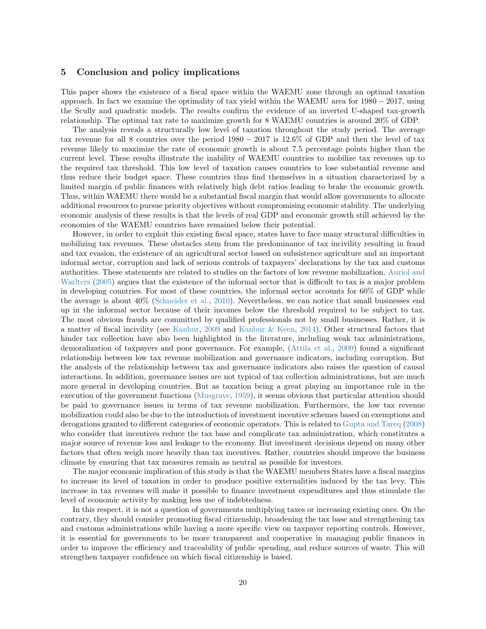### 5 Conclusion and policy implications

This paper shows the existence of a fiscal space within the WAEMU zone through an optimal taxation approach. In fact we examine the optimality of tax yield within the WAEMU area for 1980 − 2017, using the Scully and quadratic models. The results confirm the evidence of an inverted U-shaped tax-growth relationship. The optimal tax rate to maximize growth for 8 WAEMU countries is around 20% of GDP.

The analysis reveals a structurally low level of taxation throughout the study period. The average tax revenue for all 8 countries over the period 1980 − 2017 is 12.6% of GDP and then the level of tax revenue likely to maximize the rate of economic growth is about 7.5 percentage points higher than the current level. These results illustrate the inability of WAEMU countries to mobilize tax revenues up to the required tax threshold. This low level of taxation causes countries to lose substantial revenue and thus reduce their budget space. These countries thus find themselves in a situation characterized by a limited margin of public finances with relatively high debt ratios leading to brake the economic growth. Thus, within WAEMU there would be a substantial fiscal margin that would allow governments to allocate additional resources to pursue priority objectives without compromising economic stability. The underlying economic analysis of these results is that the levels of real GDP and economic growth still achieved by the economies of the WAEMU countries have remained below their potential.

However, in order to exploit this existing fiscal space, states have to face many structural difficulties in mobilizing tax revenues. These obstacles stem from the predominance of tax incivility resulting in fraud and tax evasion, the existence of an agricultural sector based on subsistence agriculture and an important informal sector, corruption and lack of serious controls of taxpayers' declarations by the tax and customs authorities. These statements are related to studies on the factors of low revenue mobilization. [Auriol and](#page-20-24) [Warlters](#page-20-24) [\(2005\)](#page-20-24) argues that the existence of the informal sector that is difficult to tax is a major problem in developing countries. For most of these countries, the informal sector accounts for 60% of GDP while the average is about 40% [\(Schneider et al.,](#page-21-27) [2010\)](#page-21-27). Nevertheless, we can notice that small businesses end up in the informal sector because of their incomes below the threshold required to be subject to tax. The most obvious frauds are committed by qualified professionals not by small businesses. Rather, it is a matter of fiscal incivility (see [Kanbur,](#page-20-25) [2009](#page-20-25) and [Kanbur & Keen,](#page-21-28) [2014\)](#page-21-28). Other structural factors that hinder tax collection have also been highlighted in the literature, including weak tax administrations, demoralization of taxpayers and poor governance. For example, [\(Attila et al.,](#page-20-26) [2009\)](#page-20-26) found a significant relationship between low tax revenue mobilization and governance indicators, including corruption. But the analysis of the relationship between tax and governance indicators also raises the question of causal interactions. In addition, governance issues are not typical of tax collection administrations, but are much more general in developing countries. But as taxation being a great playing an importance rule in the execution of the government functions [\(Musgrave,](#page-21-1) [1959\)](#page-21-1), it seems obvious that particular attention should be paid to governance issues in terms of tax revenue mobilization. Furthermore, the low tax revenue mobilization could also be due to the introduction of investment incentive schemes based on exemptions and derogations granted to different categories of economic operators. This is related to [Gupta and Tareq](#page-20-27) [\(2008\)](#page-20-27) who consider that incentives reduce the tax base and complicate tax administration, which constitutes a major source of revenue loss and leakage to the economy. But investment decisions depend on many other factors that often weigh more heavily than tax incentives. Rather, countries should improve the business climate by ensuring that tax measures remain as neutral as possible for investors.

The major economic implication of this study is that the WAEMU members States have a fiscal margins to increase its level of taxation in order to produce positive externalities induced by the tax levy. This increase in tax revenues will make it possible to finance investment expenditures and thus stimulate the level of economic activity by making less use of indebtedness.

In this respect, it is not a question of governments multiplying taxes or increasing existing ones. On the contrary, they should consider promoting fiscal citizenship, broadening the tax base and strengthening tax and customs administrations while having a more specific view on taxpayer reporting controls. However, it is essential for governments to be more transparent and cooperative in managing public finances in order to improve the efficiency and traceability of public spending, and reduce sources of waste. This will strengthen taxpayer confidence on which fiscal citizenship is based.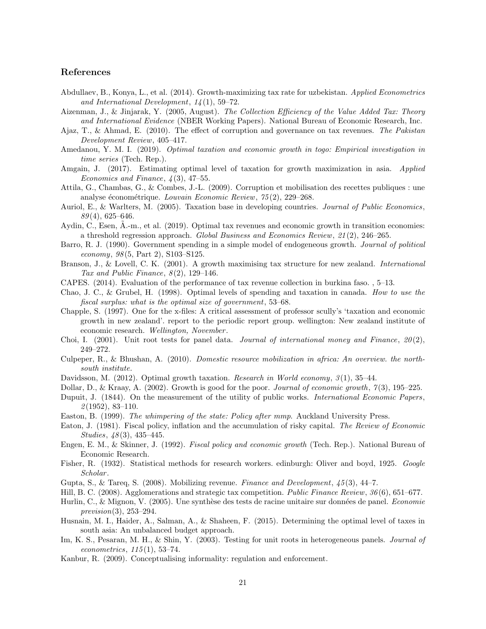# References

- <span id="page-20-6"></span>Abdullaev, B., Konya, L., et al. (2014). Growth-maximizing tax rate for uzbekistan. Applied Econometrics and International Development, 14 (1), 59–72.
- <span id="page-20-22"></span>Aizenman, J., & Jinjarak, Y. (2005, August). The Collection Efficiency of the Value Added Tax: Theory and International Evidence (NBER Working Papers). National Bureau of Economic Research, Inc.
- <span id="page-20-23"></span>Ajaz, T., & Ahmad, E. (2010). The effect of corruption and governance on tax revenues. The Pakistan Development Review, 405–417.
- <span id="page-20-12"></span>Amedanou, Y. M. I. (2019). *Optimal taxation and economic growth in togo: Empirical investigation in* time series (Tech. Rep.).
- <span id="page-20-9"></span>Amgain, J. (2017). Estimating optimal level of taxation for growth maximization in asia. Applied Economics and Finance,  $\lambda(3)$ , 47–55.
- <span id="page-20-26"></span>Attila, G., Chambas, G., & Combes, J.-L. (2009). Corruption et mobilisation des recettes publiques : une analyse économétrique. Louvain Economic Review,  $75(2)$ , 229–268.
- <span id="page-20-24"></span>Auriol, E., & Warlters, M. (2005). Taxation base in developing countries. Journal of Public Economics,  $89(4)$ , 625–646.
- <span id="page-20-10"></span>Aydin, C., Esen, A.-m., et al. (2019). Optimal tax revenues and economic growth in transition economies: a threshold regression approach. Global Business and Economics Review, 21 (2), 246–265.
- <span id="page-20-1"></span>Barro, R. J. (1990). Government spending in a simple model of endogeneous growth. Journal of political economy, 98 (5, Part 2), S103–S125.
- <span id="page-20-11"></span>Branson, J., & Lovell, C. K. (2001). A growth maximising tax structure for new zealand. *International* Tax and Public Finance,  $8(2)$ , 129–146.
- <span id="page-20-13"></span>CAPES. (2014). Evaluation of the performance of tax revenue collection in burkina faso. , 5–13.
- <span id="page-20-3"></span>Chao, J. C., & Grubel, H. (1998). Optimal levels of spending and taxation in canada. How to use the fiscal surplus: what is the optimal size of government, 53–68.
- <span id="page-20-14"></span>Chapple, S. (1997). One for the x-files: A critical assessment of professor scully's 'taxation and economic growth in new zealand'. report to the periodic report group. wellington: New zealand institute of economic research. Wellington, November.
- <span id="page-20-18"></span>Choi, I. (2001). Unit root tests for panel data. Journal of international money and Finance,  $20(2)$ , 249–272.
- <span id="page-20-0"></span>Culpeper, R., & Bhushan, A. (2010). Domestic resource mobilization in africa: An overview. the northsouth institute.
- <span id="page-20-7"></span>Davidsson, M. (2012). Optimal growth taxation. Research in World economy, 3(1), 35–44.
- <span id="page-20-21"></span>Dollar, D., & Kraay, A. (2002). Growth is good for the poor. Journal of economic growth, 7(3), 195–225.
- <span id="page-20-2"></span>Dupuit, J. (1844). On the measurement of the utility of public works. *International Economic Papers*,  $\mathcal{2}(1952), 83-110.$
- <span id="page-20-15"></span>Easton, B. (1999). The whimpering of the state: Policy after mmp. Auckland University Press.
- <span id="page-20-4"></span>Eaton, J. (1981). Fiscal policy, inflation and the accumulation of risky capital. The Review of Economic Studies,  $48(3)$ ,  $435-445$ .
- <span id="page-20-5"></span>Engen, E. M., & Skinner, J. (1992). Fiscal policy and economic growth (Tech. Rep.). National Bureau of Economic Research.
- <span id="page-20-20"></span>Fisher, R. (1932). Statistical methods for research workers. edinburgh: Oliver and boyd, 1925. Google Scholar .
- <span id="page-20-27"></span>Gupta, S., & Tareq, S. (2008). Mobilizing revenue. Finance and Development,  $45(3)$ , 44–7.
- <span id="page-20-16"></span>Hill, B. C. (2008). Agglomerations and strategic tax competition. Public Finance Review, 36 (6), 651–677.
- <span id="page-20-19"></span>Hurlin, C., & Mignon, V. (2005). Une synthèse des tests de racine unitaire sur données de panel. Economie prevision(3), 253–294.
- <span id="page-20-8"></span>Husnain, M. I., Haider, A., Salman, A., & Shaheen, F. (2015). Determining the optimal level of taxes in south asia: An unbalanced budget approach.
- <span id="page-20-17"></span>Im, K. S., Pesaran, M. H., & Shin, Y. (2003). Testing for unit roots in heterogeneous panels. *Journal of*  $econometrics, 115(1), 53-74.$
- <span id="page-20-25"></span>Kanbur, R. (2009). Conceptualising informality: regulation and enforcement.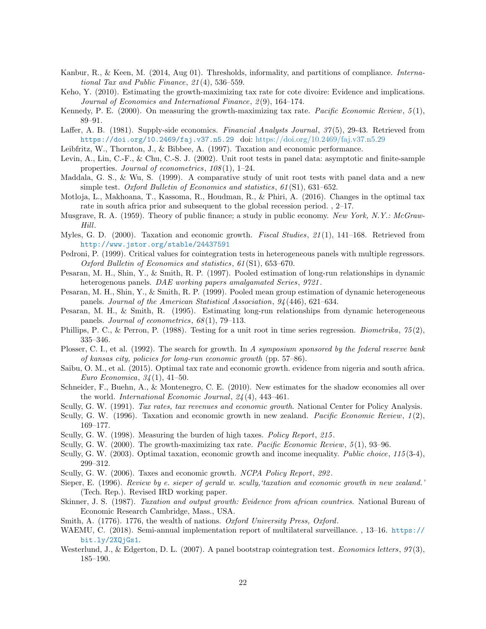- <span id="page-21-28"></span>Kanbur, R., & Keen, M. (2014, Aug 01). Thresholds, informality, and partitions of compliance. International Tax and Public Finance, 21 (4), 536–559.
- <span id="page-21-6"></span>Keho, Y. (2010). Estimating the growth-maximizing tax rate for cote divoire: Evidence and implications. Journal of Economics and International Finance, 2(9), 164–174.
- <span id="page-21-12"></span>Kennedy, P. E. (2000). On measuring the growth-maximizing tax rate. Pacific Economic Review, 5(1), 89–91.
- <span id="page-21-3"></span>Laffer, A. B. (1981). Supply-side economics. Financial Analysts Journal, 37(5), 29-43. Retrieved from <https://doi.org/10.2469/faj.v37.n5.29> doi: <https://doi.org/10.2469/faj.v37.n5.29>
- <span id="page-21-10"></span>Leibfritz, W., Thornton, J., & Bibbee, A. (1997). Taxation and economic performance.
- <span id="page-21-19"></span>Levin, A., Lin, C.-F., & Chu, C.-S. J. (2002). Unit root tests in panel data: asymptotic and finite-sample properties. Journal of econometrics,  $108(1)$ , 1–24.
- <span id="page-21-20"></span>Maddala, G. S., & Wu, S. (1999). A comparative study of unit root tests with panel data and a new simple test. Oxford Bulletin of Economics and statistics, 61(S1), 631–652.
- <span id="page-21-17"></span>Motloja, L., Makhoana, T., Kassoma, R., Houdman, R., & Phiri, A. (2016). Changes in the optimal tax rate in south africa prior and subsequent to the global recession period. , 2–17.
- <span id="page-21-1"></span>Musgrave, R. A. (1959). Theory of public finance; a study in public economy. New York, N.Y.: McGraw-Hill.
- <span id="page-21-9"></span>Myles, G. D. (2000). Taxation and economic growth. *Fiscal Studies*, 21(1), 141–168. Retrieved from <http://www.jstor.org/stable/24437591>
- <span id="page-21-23"></span>Pedroni, P. (1999). Critical values for cointegration tests in heterogeneous panels with multiple regressors. Oxford Bulletin of Economics and statistics, 61 (S1), 653–670.
- <span id="page-21-24"></span>Pesaran, M. H., Shin, Y., & Smith, R. P. (1997). Pooled estimation of long-run relationships in dynamic heterogenous panels. DAE working papers amalgamated Series, 9721.
- <span id="page-21-26"></span>Pesaran, M. H., Shin, Y., & Smith, R. P. (1999). Pooled mean group estimation of dynamic heterogeneous panels. Journal of the American Statistical Association, 94 (446), 621–634.
- <span id="page-21-25"></span>Pesaran, M. H., & Smith, R. (1995). Estimating long-run relationships from dynamic heterogeneous panels. Journal of econometrics, 68 (1), 79–113.
- <span id="page-21-21"></span>Phillips, P. C., & Perron, P. (1988). Testing for a unit root in time series regression. *Biometrika*,  $75(2)$ , 335–346.
- <span id="page-21-8"></span>Plosser, C. I., et al. (1992). The search for growth. In A symposium sponsored by the federal reserve bank of kansas city, policies for long-run economic growth (pp. 57–86).
- <span id="page-21-16"></span>Saibu, O. M., et al. (2015). Optimal tax rate and economic growth. evidence from nigeria and south africa. Euro Economica,  $34(1)$ , 41–50.
- <span id="page-21-27"></span>Schneider, F., Buehn, A., & Montenegro, C. E. (2010). New estimates for the shadow economies all over the world. International Economic Journal, 24 (4), 443–461.
- <span id="page-21-5"></span>Scully, G. W. (1991). Tax rates, tax revenues and economic growth. National Center for Policy Analysis.
- <span id="page-21-0"></span>Scully, G. W. (1996). Taxation and economic growth in new zealand. Pacific Economic Review,  $1(2)$ , 169–177.
- <span id="page-21-11"></span>Scully, G. W. (1998). Measuring the burden of high taxes. Policy Report, 215 .
- <span id="page-21-13"></span>Scully, G. W. (2000). The growth-maximizing tax rate. *Pacific Economic Review*, 5(1), 93–96.
- <span id="page-21-14"></span>Scully, G. W. (2003). Optimal taxation, economic growth and income inequality. Public choice, 115 (3-4), 299–312.
- <span id="page-21-15"></span>Scully, G. W. (2006). Taxes and economic growth. NCPA Policy Report, 292.
- <span id="page-21-18"></span>Sieper, E. (1996). Review by e. sieper of gerald w. scully,'taxation and economic growth in new zealand.' (Tech. Rep.). Revised IRD working paper.
- <span id="page-21-7"></span>Skinner, J. S. (1987). Taxation and output growth: Evidence from african countries. National Bureau of Economic Research Cambridge, Mass., USA.
- <span id="page-21-4"></span>Smith, A. (1776). 1776, the wealth of nations. Oxford University Press, Oxford.
- <span id="page-21-2"></span>WAEMU, C. (2018). Semi-annual implementation report of multilateral surveillance. , 13–16. [https://](https://bit.ly/2XQjGs1) [bit.ly/2XQjGs1](https://bit.ly/2XQjGs1).
- <span id="page-21-22"></span>Westerlund, J., & Edgerton, D. L. (2007). A panel bootstrap cointegration test. Economics letters,  $97(3)$ , 185–190.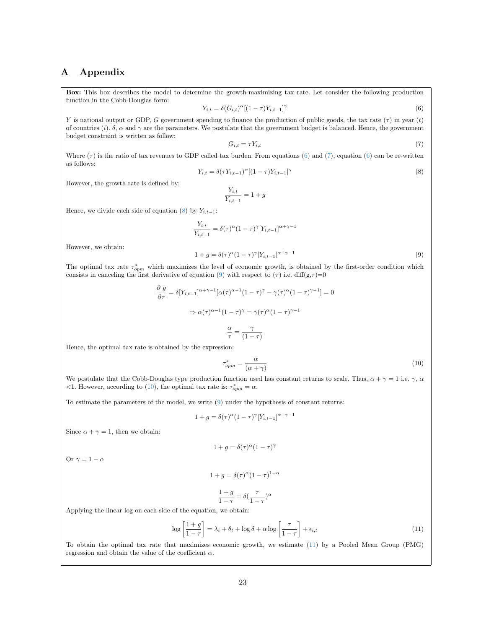# A Appendix

Box: This box describes the model to determine the growth-maximizing tax rate. Let consider the following production function in the Cobb-Douglas form:

<span id="page-22-2"></span><span id="page-22-1"></span>
$$
Y_{i,t} = \delta(G_{i,t})^{\alpha}[(1-\tau)Y_{i,t-1}]^{\gamma}
$$
\n
$$
(6)
$$

Y is national output or GDP, G government spending to finance the production of public goods, the tax rate  $(\tau)$  in year  $(t)$ of countries (i).  $\delta$ ,  $\alpha$  and  $\gamma$  are the parameters. We postulate that the government budget is balanced. Hence, the government budget constraint is written as follow:

$$
G_{i,t} = \tau Y_{i,t} \tag{7}
$$

<span id="page-22-3"></span>Where  $(\tau)$  is the ratio of tax revenues to GDP called tax burden. From equations [\(6\)](#page-22-1) and [\(7\)](#page-22-2), equation (6) can be re-written as follows:

<span id="page-22-4"></span>
$$
Y_{i,t} = \delta(\tau Y_{i,t-1})^{\alpha} [(1-\tau)Y_{i,t-1}]^{\gamma}
$$
\n
$$
(8)
$$

However, the growth rate is defined by:

$$
\frac{Y_{i,t}}{Y_{i,t-1}} = 1 + g
$$

Hence, we divide each side of equation [\(8\)](#page-22-3) by  $Y_{i,t-1}$ :

$$
\frac{Y_{i,t}}{Y_{i,t-1}} = \delta(\tau)^\alpha (1-\tau)^\gamma [Y_{i,t-1}]^{\alpha+\gamma-1}
$$

However, we obtain:

$$
1 + g = \delta(\tau)^{\alpha} (1 - \tau)^{\gamma} [Y_{i,t-1}]^{\alpha + \gamma - 1}
$$
\n(9)

<span id="page-22-5"></span>The optimal tax rate  $\tau_{opm}^*$  which maximizes the level of economic growth, is obtained by the first-order condition which consists in canceling the first derivative of equation [\(9\)](#page-22-4) with respect to  $(\tau)$  i.e. diff(g, $\tau$ )=0

$$
\frac{\partial g}{\partial \tau} = \delta[Y_{i,t-1}]^{\alpha + \gamma - 1} [\alpha(\tau)^{\alpha - 1} (1 - \tau)^{\gamma} - \gamma(\tau)^{\alpha} (1 - \tau)^{\gamma - 1}] = 0
$$

$$
\Rightarrow \alpha(\tau)^{\alpha - 1} (1 - \tau)^{\gamma} = \gamma(\tau)^{\alpha} (1 - \tau)^{\gamma - 1}
$$

$$
\frac{\alpha}{\tau} = \frac{\gamma}{(1 - \tau)}
$$

Hence, the optimal tax rate is obtained by the expression:

<span id="page-22-0"></span>
$$
\tau_{opm}^* = \frac{\alpha}{(\alpha + \gamma)}\tag{10}
$$

We postulate that the Cobb-Douglas type production function used has constant returns to scale. Thus,  $\alpha + \gamma = 1$  i.e.  $\gamma$ ,  $\alpha$ <1. However, according to [\(10\)](#page-22-5), the optimal tax rate is:  $\tau_{opm}^* = \alpha$ .

To estimate the parameters of the model, we write [\(9\)](#page-22-4) under the hypothesis of constant returns:

$$
1 + g = \delta(\tau)^{\alpha} (1 - \tau)^{\gamma} [Y_{i,t-1}]^{\alpha + \gamma - 1}
$$

Since  $\alpha + \gamma = 1$ , then we obtain:

$$
1+g=\delta(\tau)^\alpha(1-\tau)^\gamma
$$

Or  $\gamma = 1 - \alpha$ 

$$
1 + g = \delta(\tau)^{\alpha} (1 - \tau)^{1 - \alpha}
$$

$$
\frac{1+g}{1-\tau} = \delta(\frac{\tau}{1-\tau})^{\alpha}
$$

Applying the linear log on each side of the equation, we obtain:

$$
\log\left[\frac{1+g}{1-\tau}\right] = \lambda_i + \theta_t + \log\delta + \alpha \log\left[\frac{\tau}{1-\tau}\right] + \epsilon_{i,t} \tag{11}
$$

To obtain the optimal tax rate that maximizes economic growth, we estimate [\(11\)](#page-22-0) by a Pooled Mean Group (PMG) regression and obtain the value of the coefficient  $\alpha$ .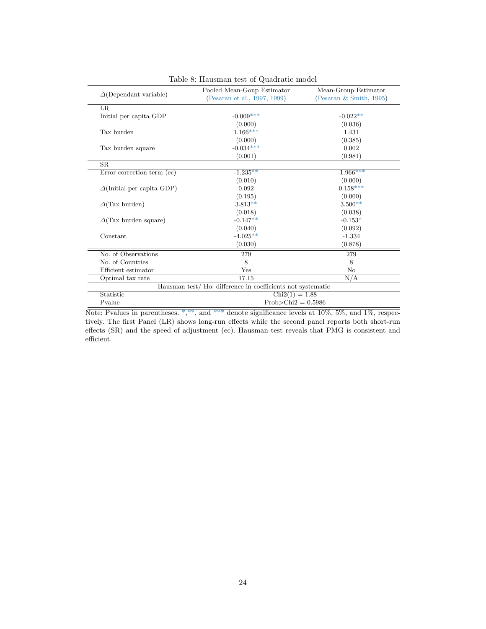<span id="page-23-0"></span>

|                                   | Pooled Mean-Goup Estimator                                 | Mean-Group Estimator       |
|-----------------------------------|------------------------------------------------------------|----------------------------|
| $\Delta$ (Dependant variable)     | (Pesaran et al., 1997, 1999)                               | (Pesaran $\&$ Smith, 1995) |
| LR.                               |                                                            |                            |
| Initial per capita GDP            | $-0.009***$                                                | $-0.022**$                 |
|                                   | (0.000)                                                    | (0.036)                    |
| Tax burden                        | $1.166***$                                                 | 1.431                      |
|                                   | (0.000)                                                    | (0.385)                    |
| Tax burden square                 | $-0.034***$                                                | 0.002                      |
|                                   | (0.001)                                                    | (0.981)                    |
| SR                                |                                                            |                            |
| Error correction term (ec)        | $-1.235**$                                                 | $-1.966***$                |
|                                   | (0.010)                                                    | (0.000)                    |
| $\Delta$ (Initial per capita GDP) | 0.092                                                      | $0.158***$                 |
|                                   | (0.195)                                                    | (0.000)                    |
| $\Delta$ (Tax burden)             | $3.813**$                                                  | $3.500**$                  |
|                                   | (0.018)                                                    | (0.038)                    |
| $\Delta$ (Tax burden square)      | $-0.147**$                                                 | $-0.153*$                  |
|                                   | (0.040)                                                    | (0.092)                    |
| Constant                          | $-4.025**$                                                 | $-1.334$                   |
|                                   | (0.030)                                                    | (0.878)                    |
| No. of Observations               | 279                                                        | 279                        |
| No. of Countries                  | 8                                                          | 8                          |
| Efficient estimator               | Yes                                                        | No                         |
| Optimal tax rate                  | 17.15                                                      | N/A                        |
|                                   | Hausman test/Ho: difference in coefficients not systematic |                            |
| Statistic                         | $Chi2(1) = 1.88$                                           |                            |
| Pvalue                            | $Prob > Chi2 = 0.5986$                                     |                            |

Table 8: Hausman test of Quadratic model

Note: Pvalues in parentheses. \*,\*\*, and \*\*\* denote significance levels at  $10\%, 5\%,$  and  $1\%,$  respectively. The first Panel (LR) shows long-run effects while the second panel reports both short-run effects (SR) and the speed of adjustment (ec). Hausman test reveals that PMG is consistent and efficient.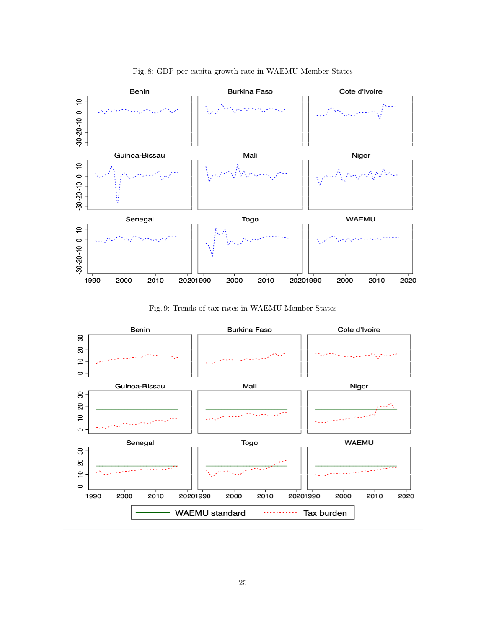

# Fig. 8: GDP per capita growth rate in WAEMU Member States

Fig. 9: Trends of tax rates in WAEMU Member States

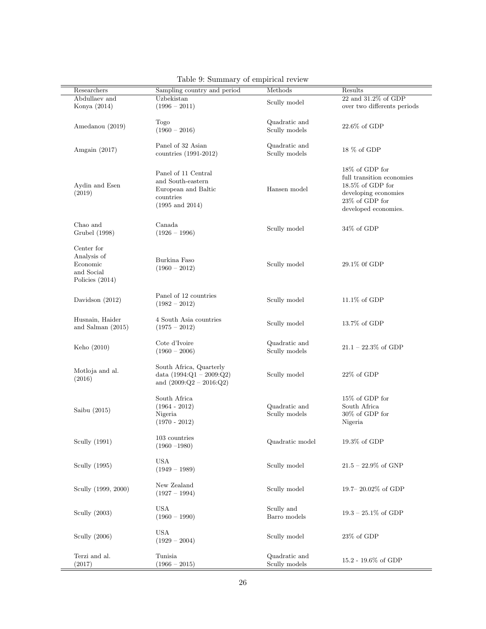<span id="page-25-0"></span>

| Researchers         | Sampling country and period | Methods         | Results                                   |
|---------------------|-----------------------------|-----------------|-------------------------------------------|
| Abdullaev and       | Uzbekistan                  | Scully model    | $22$ and $31.2\%$ of GDP                  |
| Konya (2014)        | $(1996 - 2011)$             |                 | over two differents periods               |
|                     | Togo                        | Quadratic and   |                                           |
| Amedanou (2019)     |                             |                 | $22.6\%$ of GDP                           |
|                     | $(1960 - 2016)$             | Scully models   |                                           |
| Amgain $(2017)$     | Panel of 32 Asian           | Quadratic and   | $18\%$ of GDP                             |
|                     | countries (1991-2012)       | Scully models   |                                           |
|                     |                             |                 | 18% of GDP for                            |
|                     | Panel of 11 Central         |                 | full transition economies                 |
|                     | and South-eastern           |                 | $18.5\%$ of GDP for                       |
| Aydin and Esen      | European and Baltic         | Hansen model    |                                           |
| (2019)              | countries                   |                 | developing economies                      |
|                     | $(1995 \text{ and } 2014)$  |                 | $23\%$ of GDP for<br>developed economies. |
|                     |                             |                 |                                           |
| Chao and            | Canada                      | Scully model    | $34\%$ of GDP                             |
| Grubel (1998)       | $(1926 - 1996)$             |                 |                                           |
| Center for          |                             |                 |                                           |
| Analysis of         |                             |                 |                                           |
| Economic            | Burkina Faso                | Scully model    | 29.1% Of GDP                              |
| and Social          | $(1960 - 2012)$             |                 |                                           |
| Policies $(2014)$   |                             |                 |                                           |
|                     |                             |                 |                                           |
| Davidson $(2012)$   | Panel of 12 countries       | Scully model    | $11.1\%$ of GDP                           |
|                     | $(1982 - 2012)$             |                 |                                           |
| Husnain, Haider     | 4 South Asia countries      |                 |                                           |
| and Salman $(2015)$ | $(1975 - 2012)$             | Scully model    | 13.7% of GDP                              |
|                     |                             |                 |                                           |
|                     | Cote d'Ivoire               | Quadratic and   |                                           |
| Keho (2010)         | $(1960 - 2006)$             | Scully models   | $21.1 - 22.3\%$ of GDP                    |
|                     | South Africa, Quarterly     |                 |                                           |
| Motloja and al.     |                             |                 |                                           |
| (2016)              | data $(1994:Q1 - 2009:Q2)$  | Scully model    | $22\%$ of GDP                             |
|                     | and $(2009:Q2 - 2016:Q2)$   |                 |                                           |
|                     | South Africa                |                 | 15% of GDP for                            |
| Saibu (2015)        | $(1964 - 2012)$             | Quadratic and   | South Africa                              |
|                     | Nigeria                     | Scully models   | $30\%$ of GDP for                         |
|                     | $(1970 - 2012)$             |                 | Nigeria                                   |
|                     | $103$ countries $\,$        |                 |                                           |
| Scully (1991)       | $(1960 - 1980)$             | Quadratic model | $19.3\%$ of GDP                           |
|                     |                             |                 |                                           |
| Scully (1995)       | <b>USA</b>                  | Scully model    | $21.5 - 22.9\%$ of GNP                    |
|                     | $(1949 - 1989)$             |                 |                                           |
|                     | New Zealand                 |                 |                                           |
| Scully (1999, 2000) | $(1927 - 1994)$             | Scully model    | 19.7-20.02% of GDP                        |
|                     |                             |                 |                                           |
| Scully (2003)       | <b>USA</b>                  | Scully and      | $19.3 - 25.1\%$ of GDP                    |
|                     | $(1960 - 1990)$             | Barro models    |                                           |
|                     | USA                         |                 |                                           |
| Scully (2006)       | $(1929 - 2004)$             | Scully model    | $23\%$ of GDP                             |
|                     |                             |                 |                                           |
| Terzi and al.       | Tunisia                     | Quadratic and   | 15.2 - 19.6% of GDP                       |
| (2017)              | $(1966 - 2015)$             | Scully models   |                                           |

Table 9: Summary of empirical review